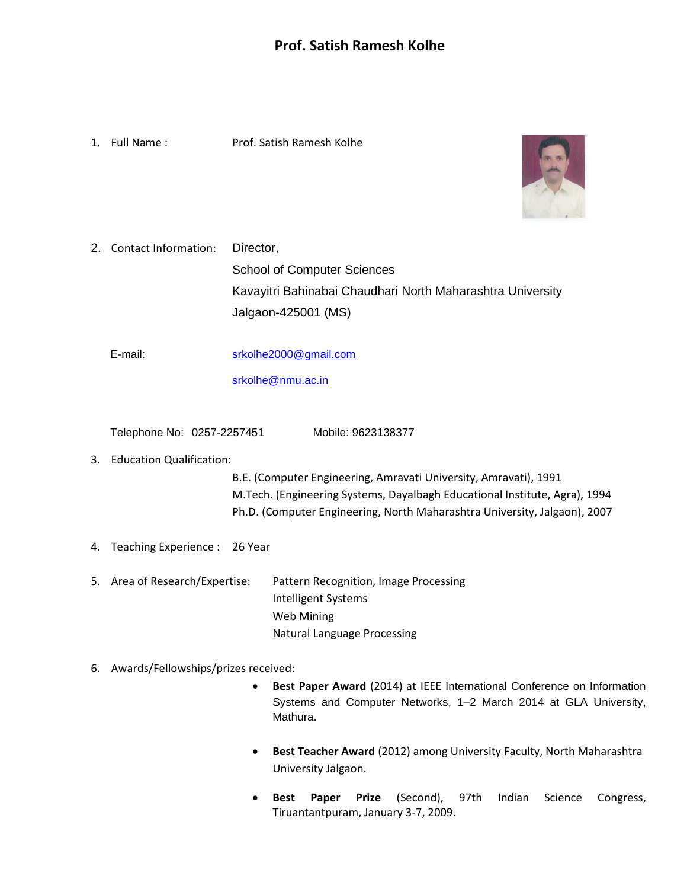1. Full Name : Prof. Satish Ramesh Kolhe



2. Contact Information: Director, School of Computer Sciences Kavayitri Bahinabai Chaudhari North Maharashtra University Jalgaon-425001 (MS)

E-mail: [srkolhe2000@gmail.com](mailto:srkolhe2000@gmail.com)

[srkolhe@nmu.ac.in](mailto:srkolhe@nmu.ac.in)

Telephone No: 0257-2257451 Mobile: 9623138377

# 3. Education Qualification:

B.E. (Computer Engineering, Amravati University, Amravati), 1991 M.Tech. (Engineering Systems, Dayalbagh Educational Institute, Agra), 1994 Ph.D. (Computer Engineering, North Maharashtra University, Jalgaon), 2007

- 4. Teaching Experience : 26 Year
- 5. Area of Research/Expertise: Pattern Recognition, Image Processing Intelligent Systems Web Mining Natural Language Processing

# 6. Awards/Fellowships/prizes received:

- **Best Paper Award** (2014) at IEEE International Conference on Information Systems and Computer Networks, 1–2 March 2014 at GLA University, Mathura.
- **Best Teacher Award** (2012) among University Faculty, North Maharashtra University Jalgaon.
- **Best Paper Prize** (Second), 97th Indian Science Congress, Tiruantantpuram, January 3-7, 2009.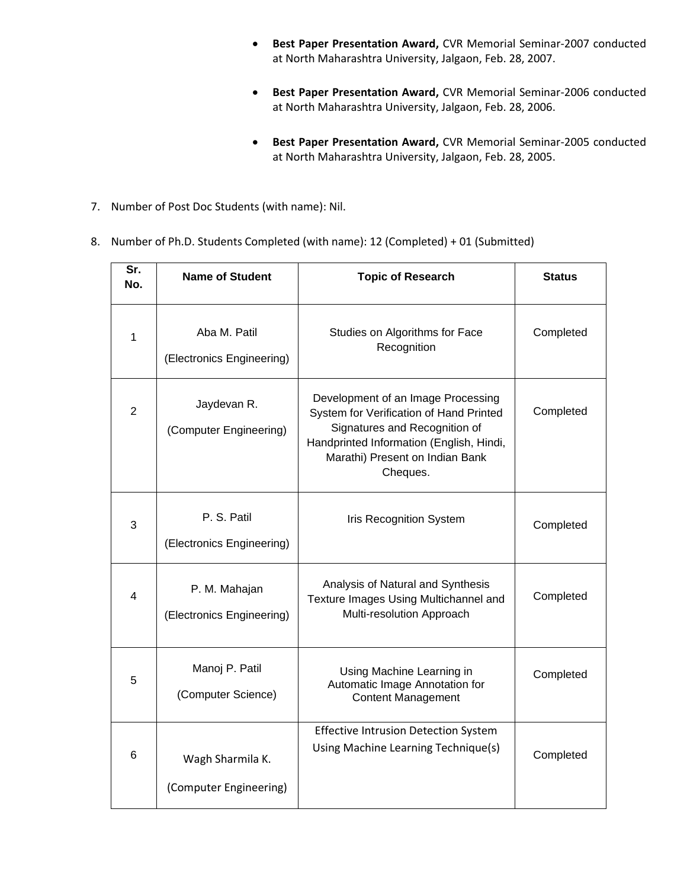- **Best Paper Presentation Award,** CVR Memorial Seminar-2007 conducted at North Maharashtra University, Jalgaon, Feb. 28, 2007.
- **Best Paper Presentation Award,** CVR Memorial Seminar-2006 conducted at North Maharashtra University, Jalgaon, Feb. 28, 2006.
- **Best Paper Presentation Award,** CVR Memorial Seminar-2005 conducted at North Maharashtra University, Jalgaon, Feb. 28, 2005.
- 7. Number of Post Doc Students (with name): Nil.
- 8. Number of Ph.D. Students Completed (with name): 12 (Completed) + 01 (Submitted)

| Sr.<br>No.     | <b>Name of Student</b>                     | <b>Topic of Research</b>                                                                                                                                                                                  | <b>Status</b> |
|----------------|--------------------------------------------|-----------------------------------------------------------------------------------------------------------------------------------------------------------------------------------------------------------|---------------|
| 1              | Aba M. Patil<br>(Electronics Engineering)  | Studies on Algorithms for Face<br>Recognition                                                                                                                                                             | Completed     |
| $\overline{2}$ | Jaydevan R.<br>(Computer Engineering)      | Development of an Image Processing<br>System for Verification of Hand Printed<br>Signatures and Recognition of<br>Handprinted Information (English, Hindi,<br>Marathi) Present on Indian Bank<br>Cheques. | Completed     |
| 3              | P. S. Patil<br>(Electronics Engineering)   | <b>Iris Recognition System</b>                                                                                                                                                                            | Completed     |
| $\overline{4}$ | P. M. Mahajan<br>(Electronics Engineering) | Analysis of Natural and Synthesis<br>Texture Images Using Multichannel and<br>Multi-resolution Approach                                                                                                   | Completed     |
| 5              | Manoj P. Patil<br>(Computer Science)       | Using Machine Learning in<br>Automatic Image Annotation for<br><b>Content Management</b>                                                                                                                  | Completed     |
| 6              | Wagh Sharmila K.<br>(Computer Engineering) | <b>Effective Intrusion Detection System</b><br>Using Machine Learning Technique(s)                                                                                                                        | Completed     |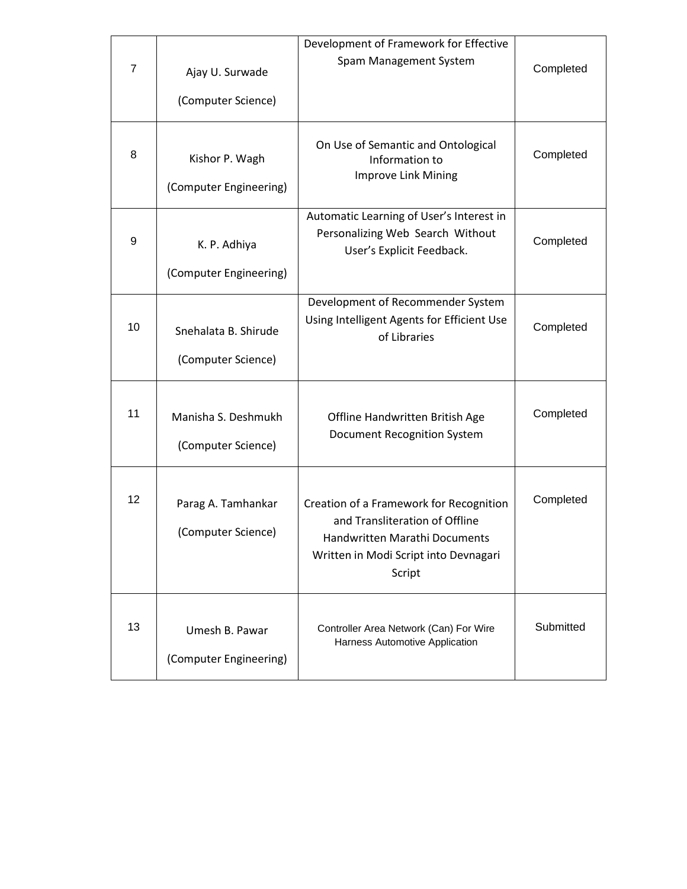| $\overline{7}$ | Ajay U. Surwade<br>(Computer Science)      | Development of Framework for Effective<br>Spam Management System                                                                                              | Completed |
|----------------|--------------------------------------------|---------------------------------------------------------------------------------------------------------------------------------------------------------------|-----------|
| 8              | Kishor P. Wagh<br>(Computer Engineering)   | On Use of Semantic and Ontological<br>Information to<br>Improve Link Mining                                                                                   | Completed |
| 9              | K. P. Adhiya<br>(Computer Engineering)     | Automatic Learning of User's Interest in<br>Personalizing Web Search Without<br>User's Explicit Feedback.                                                     | Completed |
| 10             | Snehalata B. Shirude<br>(Computer Science) | Development of Recommender System<br>Using Intelligent Agents for Efficient Use<br>of Libraries                                                               | Completed |
| 11             | Manisha S. Deshmukh<br>(Computer Science)  | Offline Handwritten British Age<br>Document Recognition System                                                                                                | Completed |
| 12             | Parag A. Tamhankar<br>(Computer Science)   | Creation of a Framework for Recognition<br>and Transliteration of Offline<br>Handwritten Marathi Documents<br>Written in Modi Script into Devnagari<br>Script | Completed |
| 13             | Umesh B. Pawar<br>(Computer Engineering)   | Controller Area Network (Can) For Wire<br>Harness Automotive Application                                                                                      | Submitted |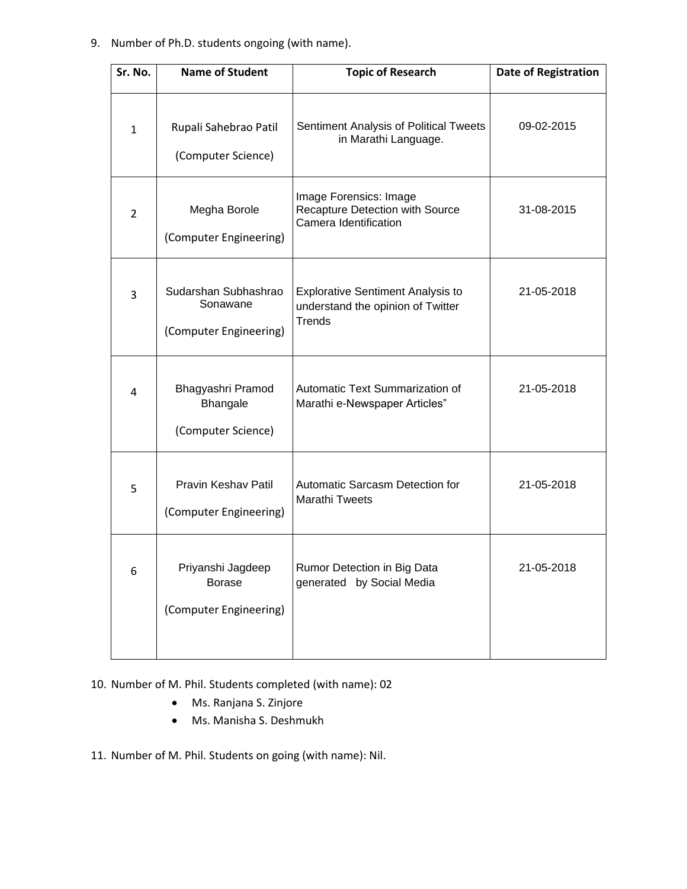## 9. Number of Ph.D. students ongoing (with name).

| Sr. No.        | <b>Name of Student</b>                                       | <b>Topic of Research</b>                                                                       | <b>Date of Registration</b> |
|----------------|--------------------------------------------------------------|------------------------------------------------------------------------------------------------|-----------------------------|
| $\mathbf{1}$   | Rupali Sahebrao Patil<br>(Computer Science)                  | Sentiment Analysis of Political Tweets<br>in Marathi Language.                                 | 09-02-2015                  |
| $\overline{2}$ | Megha Borole<br>(Computer Engineering)                       | Image Forensics: Image<br>Recapture Detection with Source<br>Camera Identification             | 31-08-2015                  |
| 3              | Sudarshan Subhashrao<br>Sonawane<br>(Computer Engineering)   | <b>Explorative Sentiment Analysis to</b><br>understand the opinion of Twitter<br><b>Trends</b> | 21-05-2018                  |
| 4              | Bhagyashri Pramod<br>Bhangale<br>(Computer Science)          | Automatic Text Summarization of<br>Marathi e-Newspaper Articles"                               | 21-05-2018                  |
| 5              | Pravin Keshav Patil<br>(Computer Engineering)                | Automatic Sarcasm Detection for<br><b>Marathi Tweets</b>                                       | 21-05-2018                  |
| 6              | Priyanshi Jagdeep<br><b>Borase</b><br>(Computer Engineering) | Rumor Detection in Big Data<br>generated by Social Media                                       | 21-05-2018                  |

10. Number of M. Phil. Students completed (with name): 02

- Ms. Ranjana S. Zinjore
- Ms. Manisha S. Deshmukh

11. Number of M. Phil. Students on going (with name): Nil.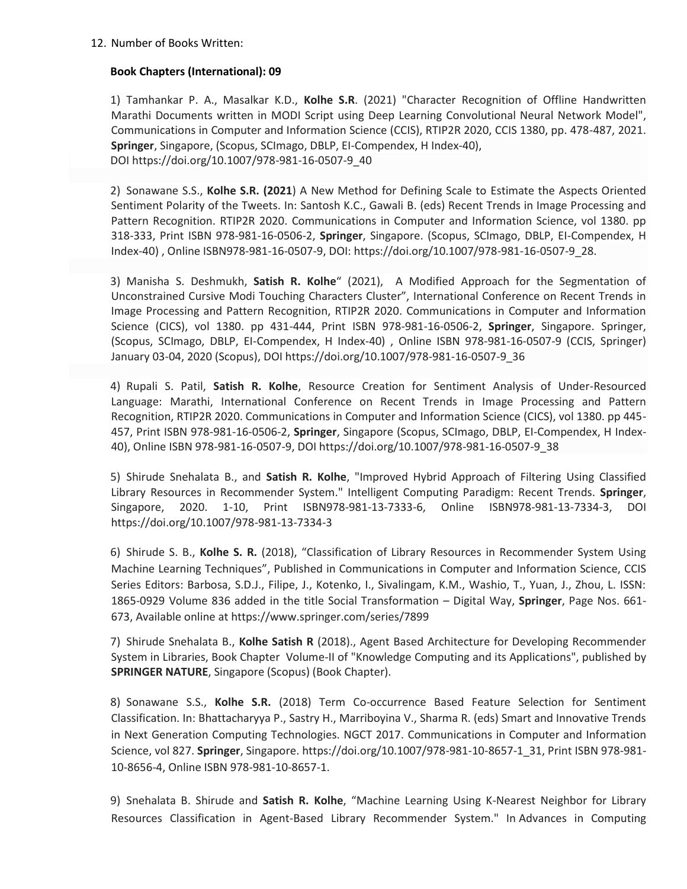### **Book Chapters (International): 09**

1) Tamhankar P. A., Masalkar K.D., **Kolhe S.R**. (2021) "Character Recognition of Offline Handwritten Marathi Documents written in MODI Script using Deep Learning Convolutional Neural Network Model", Communications in Computer and Information Science (CCIS), RTIP2R 2020, CCIS 1380, pp. 478-487, 2021. **Springer**, Singapore, (Scopus, SCImago, DBLP, EI-Compendex, H Index-40), DOI https://doi.org/10.1007/978-981-16-0507-9\_40

2) Sonawane S.S., **Kolhe S.R. (2021**) A New Method for Defining Scale to Estimate the Aspects Oriented Sentiment Polarity of the Tweets. In: Santosh K.C., Gawali B. (eds) Recent Trends in Image Processing and Pattern Recognition. RTIP2R 2020. Communications in Computer and Information Science, vol 1380. pp 318-333, Print ISBN 978-981-16-0506-2, **Springer**, Singapore. (Scopus, SCImago, DBLP, EI-Compendex, H Index-40) , Online ISBN978-981-16-0507-9, DOI: [https://doi.org/10.1007/978-981-16-0507-9\\_28.](https://doi.org/10.1007/978-981-16-0507-9_28)

3) Manisha S. Deshmukh, **Satish R. Kolhe**" (2021), A Modified Approach for the Segmentation of Unconstrained Cursive Modi Touching Characters Cluster", International Conference on Recent Trends in Image Processing and Pattern Recognition, RTIP2R 2020. Communications in Computer and Information Science (CICS), vol 1380. pp 431-444, Print ISBN 978-981-16-0506-2, **Springer**, Singapore. Springer, (Scopus, SCImago, DBLP, EI-Compendex, H Index-40) , Online ISBN 978-981-16-0507-9 (CCIS, Springer) January 03-04, 2020 (Scopus), DOI https://doi.org/10.1007/978-981-16-0507-9\_36

4) Rupali S. Patil, **Satish R. Kolhe**, [Resource Creation for Sentiment Analysis of Under-Resourced](https://link.springer.com/chapter/10.1007/978-981-16-0507-9_37)  [Language: Marathi,](https://link.springer.com/chapter/10.1007/978-981-16-0507-9_37) International Conference on Recent Trends in Image Processing and Pattern Recognition, RTIP2R 2020. Communications in Computer and Information Science (CICS), vol 1380. pp 445- 457, Print ISBN 978-981-16-0506-2, **Springer**, Singapore (Scopus, SCImago, DBLP, EI-Compendex, H Index-40), Online ISBN 978-981-16-0507-9, DOI https://doi.org/10.1007/978-981-16-0507-9\_38

5) Shirude Snehalata B., and **Satish R. Kolhe**, "Improved Hybrid Approach of Filtering Using Classified Library Resources in Recommender System." Intelligent Computing Paradigm: Recent Trends. **Springer**, Singapore, 2020. 1-10, Print ISBN978-981-13-7333-6, Online ISBN978-981-13-7334-3, DOI <https://doi.org/10.1007/978-981-13-7334-3>

6) Shirude S. B., **Kolhe S. R.** (2018), "Classification of Library Resources in Recommender System Using Machine Learning Techniques", Published in Communications in Computer and Information Science, CCIS Series Editors: Barbosa, S.D.J., Filipe, J., Kotenko, I., Sivalingam, K.M., Washio, T., Yuan, J., Zhou, L. ISSN: 1865-0929 Volume 836 added in the title Social Transformation – Digital Way, **Springer**, Page Nos. 661- 673, Available online at<https://www.springer.com/series/7899>

7) Shirude Snehalata B., **Kolhe Satish R** (2018)., Agent Based Architecture for Developing Recommender System in Libraries, Book Chapter Volume-II of "Knowledge Computing and its Applications", published by **SPRINGER NATURE**, Singapore (Scopus) (Book Chapter).

8) Sonawane S.S., **Kolhe S.R.** (2018) Term Co-occurrence Based Feature Selection for Sentiment Classification. In: Bhattacharyya P., Sastry H., Marriboyina V., Sharma R. (eds) Smart and Innovative Trends in Next Generation Computing Technologies. NGCT 2017. Communications in Computer and Information Science, vol 827. **Springer**, Singapore. [https://doi.org/10.1007/978-981-10-8657-1\\_31,](https://doi.org/10.1007/978-981-10-8657-1_31) Print ISBN 978-981- 10-8656-4, Online ISBN 978-981-10-8657-1.

9) Snehalata B. Shirude and **Satish R. Kolhe**, "Machine Learning Using K-Nearest Neighbor for Library Resources Classification in Agent-Based Library Recommender System." In Advances in Computing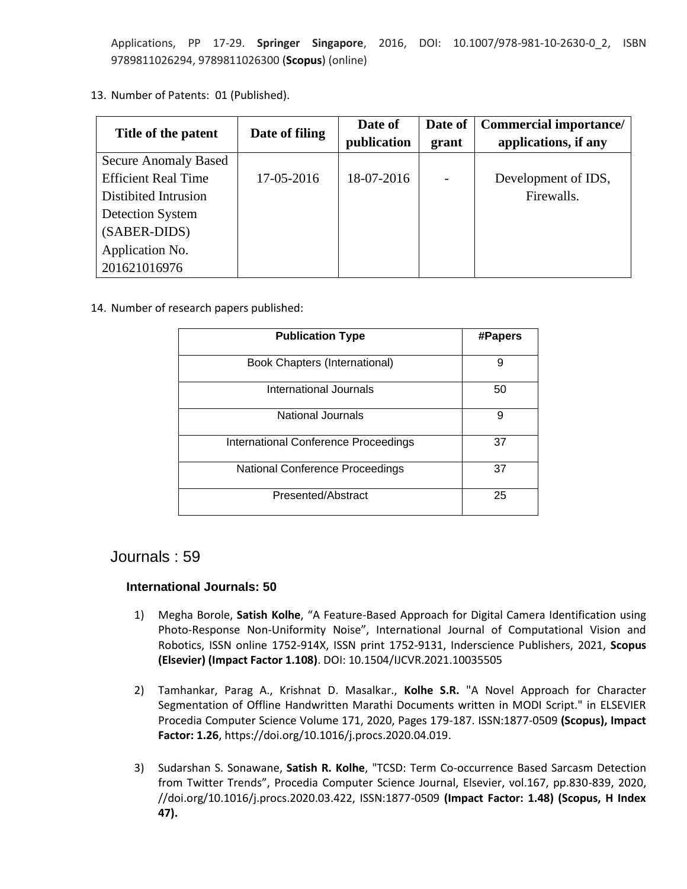Applications, PP 17-29. **Springer Singapore**, 2016, DOI: 10.1007/978-981-10-2630-0\_2, ISBN 9789811026294, 9789811026300 (**Scopus**) (online)

13. Number of Patents: 01 (Published).

| Title of the patent         | Date of filing | Date of<br>publication | Date of<br>grant | <b>Commercial importance/</b><br>applications, if any |
|-----------------------------|----------------|------------------------|------------------|-------------------------------------------------------|
| <b>Secure Anomaly Based</b> |                |                        |                  |                                                       |
| <b>Efficient Real Time</b>  | 17-05-2016     | 18-07-2016             |                  | Development of IDS,                                   |
| Distibited Intrusion        |                |                        |                  | Firewalls.                                            |
| Detection System            |                |                        |                  |                                                       |
| (SABER-DIDS)                |                |                        |                  |                                                       |
| Application No.             |                |                        |                  |                                                       |
| 201621016976                |                |                        |                  |                                                       |

14. Number of research papers published:

| <b>Publication Type</b>              | #Papers |
|--------------------------------------|---------|
| <b>Book Chapters (International)</b> | 9       |
| International Journals               | 50      |
| <b>National Journals</b>             | 9       |
| International Conference Proceedings | 37      |
| National Conference Proceedings      | 37      |
| Presented/Abstract                   | 25      |

# Journals : 59

## **International Journals: 50**

- 1) Megha Borole, **Satish Kolhe**, "A Feature-Based Approach for Digital Camera Identification using Photo-Response Non-Uniformity Noise", International Journal of Computational Vision and Robotics, ISSN online 1752-914X, ISSN print 1752-9131, Inderscience Publishers, 2021, **Scopus (Elsevier) (Impact Factor 1.108)**. DOI: 10.1504/IJCVR.2021.10035505
- 2) Tamhankar, Parag A., Krishnat D. Masalkar., **Kolhe S.R.** "A Novel Approach for Character Segmentation of Offline Handwritten Marathi Documents written in MODI Script." in ELSEVIER Procedia Computer Science Volume 171, 2020, Pages 179-187. ISSN:1877-0509 **(Scopus), Impact Factor: 1.26**, [https://doi.org/10.1016/j.procs.2020.04.019.](https://doi.org/10.1016/j.procs.2020.04.019)
- 3) Sudarshan S. Sonawane, **Satish R. Kolhe**, "TCSD: Term Co-occurrence Based Sarcasm Detection from Twitter Trends", Procedia Computer Science Journal, Elsevier, vol.167, pp.830-839, 2020, //doi.org/10.1016/j.procs.2020.03.422, ISSN:1877-0509 **(Impact Factor: 1.48) (Scopus, H Index 47).**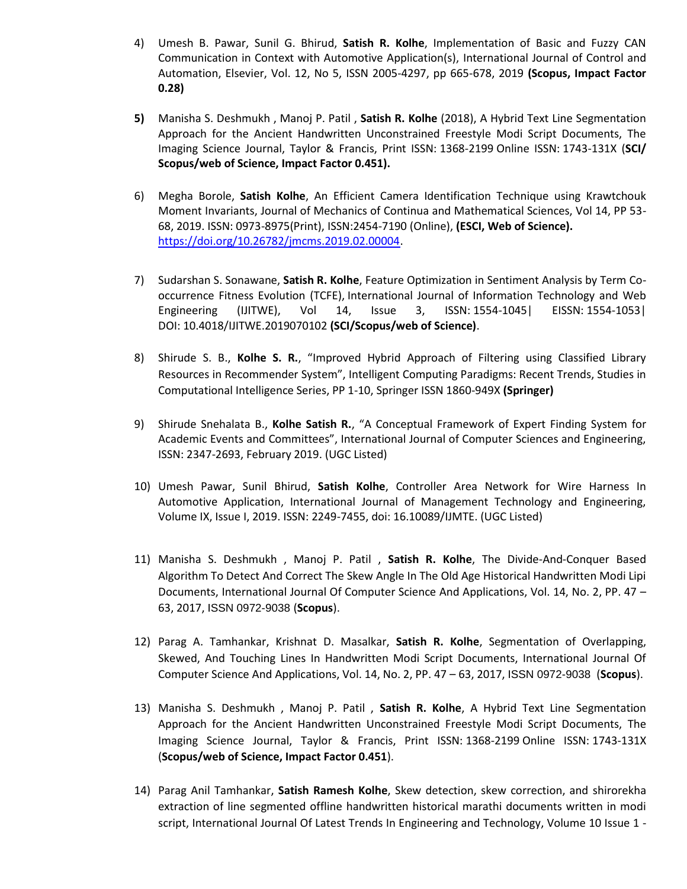- 4) Umesh B. Pawar, Sunil G. Bhirud, **Satish R. Kolhe**, Implementation of Basic and Fuzzy CAN Communication in Context with Automotive Application(s), [International Journal of Control and](http://sersc.org/journals/index.php/IJCA/index)  [Automation,](http://sersc.org/journals/index.php/IJCA/index) Elsevier, Vol. 12, No 5, ISSN 2005-4297, pp 665-678, 2019 **(Scopus, Impact Factor 0.28)**
- **5)** Manisha S. Deshmukh , Manoj P. Patil , **Satish R. Kolhe** (2018), A Hybrid Text Line Segmentation Approach for the Ancient Handwritten Unconstrained Freestyle Modi Script Documents, The Imaging Science Journal, Taylor & Francis, Print ISSN: 1368-2199 Online ISSN: 1743-131X (**SCI/ Scopus/web of Science, Impact Factor 0.451).**
- 6) Megha Borole, **Satish Kolhe**, An Efficient Camera Identification Technique using Krawtchouk Moment Invariants, Journal of Mechanics of Continua and Mathematical Sciences, Vol 14, PP 53- 68, 2019. ISSN: 0973-8975(Print), ISSN:2454-7190 (Online), **(ESCI, Web of Science).** [https://doi.org/10.26782/jmcms.2019.02.00004.](https://doi.org/10.26782/jmcms.2019.02.00004)
- 7) Sudarshan S. Sonawane, **Satish R. Kolhe**, Feature Optimization in Sentiment Analysis by Term Cooccurrence Fitness Evolution (TCFE), International Journal of Information Technology and Web Engineering (IJITWE), Vol 14, Issue 3, ISSN: 1554-1045| EISSN: 1554-1053| DOI: 10.4018/IJITWE.2019070102 **(SCI/Scopus/web of Science)**.
- 8) Shirude S. B., **Kolhe S. R.**, "Improved Hybrid Approach of Filtering using Classified Library Resources in Recommender System", Intelligent Computing Paradigms: Recent Trends, Studies in Computational Intelligence Series, PP 1-10, Springer ISSN 1860-949X **(Springer)**
- 9) Shirude Snehalata B., **Kolhe Satish R.**, "A Conceptual Framework of Expert Finding System for Academic Events and Committees", International Journal of Computer Sciences and Engineering, ISSN: 2347-2693, February 2019. (UGC Listed)
- 10) Umesh Pawar, Sunil Bhirud, **Satish Kolhe**, Controller Area Network for Wire Harness In Automotive Application, International Journal of Management Technology and Engineering, Volume IX, Issue I, 2019. ISSN: 2249-7455, doi: 16.10089/IJMTE. (UGC Listed)
- 11) Manisha S. Deshmukh , Manoj P. Patil , **Satish R. Kolhe**, The Divide-And-Conquer Based Algorithm To Detect And Correct The Skew Angle In The Old Age Historical Handwritten Modi Lipi Documents, International Journal Of Computer Science And Applications, Vol. 14, No. 2, PP. 47 – 63, 2017, ISSN 0972-9038 (**Scopus**).
- 12) Parag A. Tamhankar, Krishnat D. Masalkar, **Satish R. Kolhe**, Segmentation of Overlapping, Skewed, And Touching Lines In Handwritten Modi Script Documents, International Journal Of Computer Science And Applications, Vol. 14, No. 2, PP. 47 – 63, 2017, ISSN 0972-9038 (**Scopus**).
- 13) Manisha S. Deshmukh , Manoj P. Patil , **Satish R. Kolhe**, A Hybrid Text Line Segmentation Approach for the Ancient Handwritten Unconstrained Freestyle Modi Script Documents, The Imaging Science Journal, Taylor & Francis, Print ISSN: 1368-2199 Online ISSN: 1743-131X (**Scopus/web of Science, Impact Factor 0.451**).
- 14) Parag Anil Tamhankar, **Satish Ramesh Kolhe**, [Skew detection, skew correction, and](https://www.ijltet.org/journal_details.php?id=928&j_id=4531) shirorekha [extraction of line segmented offline handwritten historical marathi documents written in modi](https://www.ijltet.org/journal_details.php?id=928&j_id=4531)  [script,](https://www.ijltet.org/journal_details.php?id=928&j_id=4531) International Journal Of Latest Trends In Engineering and Technology, Volume 10 Issue 1 -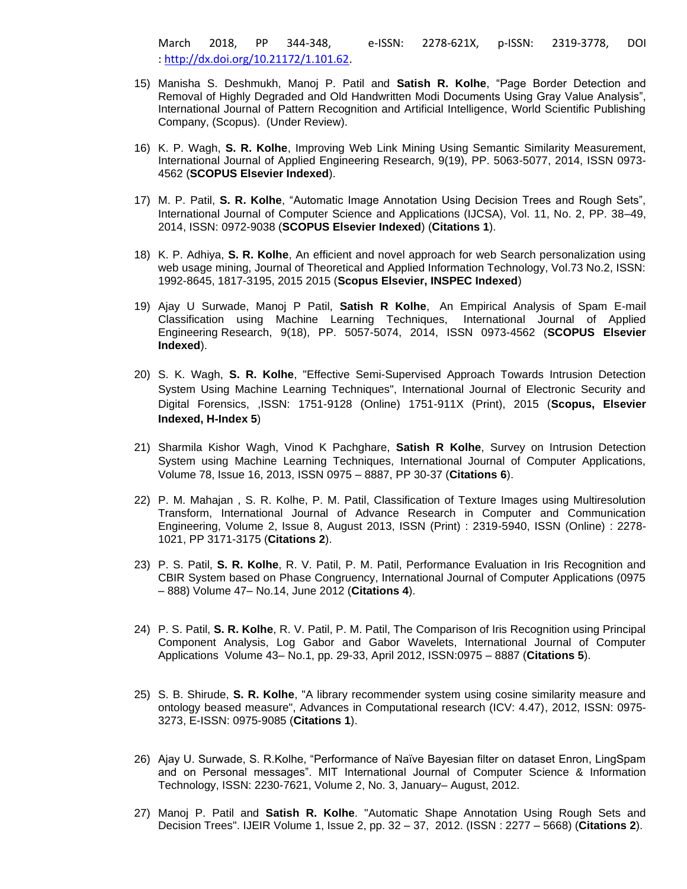March 2018, PP 344-348, e-ISSN: 2278-621X, p-ISSN: 2319-3778, DOI : [http://dx.doi.org/10.21172/1.101.62.](http://dx.doi.org/10.21172/1.101.62)

- 15) Manisha S. Deshmukh, Manoj P. Patil and **Satish R. Kolhe**, "Page Border Detection and Removal of Highly Degraded and Old Handwritten Modi Documents Using Gray Value Analysis", International Journal of Pattern Recognition and Artificial Intelligence, World Scientific Publishing Company, (Scopus). (Under Review).
- 16) K. P. Wagh, **S. R. Kolhe**, Improving Web Link Mining Using Semantic Similarity Measurement, International Journal of Applied Engineering Research, 9(19), PP. 5063-5077, 2014, ISSN 0973- 4562 (**SCOPUS Elsevier Indexed**).
- 17) M. P. Patil, **S. R. Kolhe**, "Automatic Image Annotation Using Decision Trees and Rough Sets", International Journal of Computer Science and Applications (IJCSA), Vol. 11, No. 2, PP. 38–49, 2014, ISSN: 0972-9038 (**SCOPUS Elsevier Indexed**) (**Citations 1**).
- 18) K. P. Adhiya, **S. R. Kolhe**, An efficient and novel approach for web Search personalization using web usage mining, Journal of Theoretical and Applied Information Technology, Vol.73 No.2, ISSN: 1992-8645, 1817-3195, 2015 2015 (**Scopus Elsevier, INSPEC Indexed**)
- 19) Ajay U Surwade, Manoj P Patil, **Satish R Kolhe**, An Empirical Analysis of Spam E-mail Classification using Machine Learning Techniques, International Journal of Applied Engineering Research, 9(18), PP. 5057-5074, 2014, ISSN 0973-4562 (**SCOPUS Elsevier Indexed**).
- 20) S. K. Wagh, **S. R. Kolhe**, "Effective Semi-Supervised Approach Towards Intrusion Detection System Using Machine Learning Techniques", International Journal of Electronic Security and Digital Forensics, ,ISSN: 1751-9128 (Online) 1751-911X (Print), 2015 (**Scopus, Elsevier Indexed, H-Index 5**)
- 21) Sharmila Kishor Wagh, Vinod K Pachghare, **Satish R Kolhe**, Survey on Intrusion Detection System using Machine Learning Techniques, International Journal of Computer Applications, Volume 78, Issue 16, 2013, ISSN 0975 – 8887, PP 30-37 (**Citations 6**).
- 22) P. M. Mahajan , S. R. Kolhe, P. M. Patil, Classification of Texture Images using Multiresolution Transform, International Journal of Advance Research in Computer and Communication Engineering, Volume 2, Issue 8, August 2013, ISSN (Print) : 2319-5940, ISSN (Online) : 2278- 1021, PP 3171-3175 (**Citations 2**).
- 23) P. S. Patil, **S. R. Kolhe**, R. V. Patil, P. M. Patil, Performance Evaluation in Iris Recognition and CBIR System based on Phase Congruency, International Journal of Computer Applications (0975 – 888) Volume 47– No.14, June 2012 (**Citations 4**).
- 24) P. S. Patil, **S. R. Kolhe**, R. V. Patil, P. M. Patil, The Comparison of Iris Recognition using Principal Component Analysis, Log Gabor and Gabor Wavelets, International Journal of Computer Applications Volume 43– No.1, pp. 29-33, April 2012, ISSN:0975 – 8887 (**Citations 5**).
- 25) S. B. Shirude, **S. R. Kolhe**, "A library recommender system using cosine similarity measure and ontology beased measure", Advances in Computational research (ICV: 4.47), 2012, ISSN: 0975- 3273, E-ISSN: 0975-9085 (**Citations 1**).
- 26) Ajay U. Surwade, S. R.Kolhe, "Performance of Naïve Bayesian filter on dataset Enron, LingSpam and on Personal messages". MIT International Journal of Computer Science & Information Technology, ISSN: 2230-7621, Volume 2, No. 3, January– August, 2012.
- 27) Manoj P. Patil and **Satish R. Kolhe**. "Automatic Shape Annotation Using Rough Sets and Decision Trees". IJEIR Volume 1, Issue 2, pp. 32 – 37, 2012. (ISSN : 2277 – 5668) (**Citations 2**).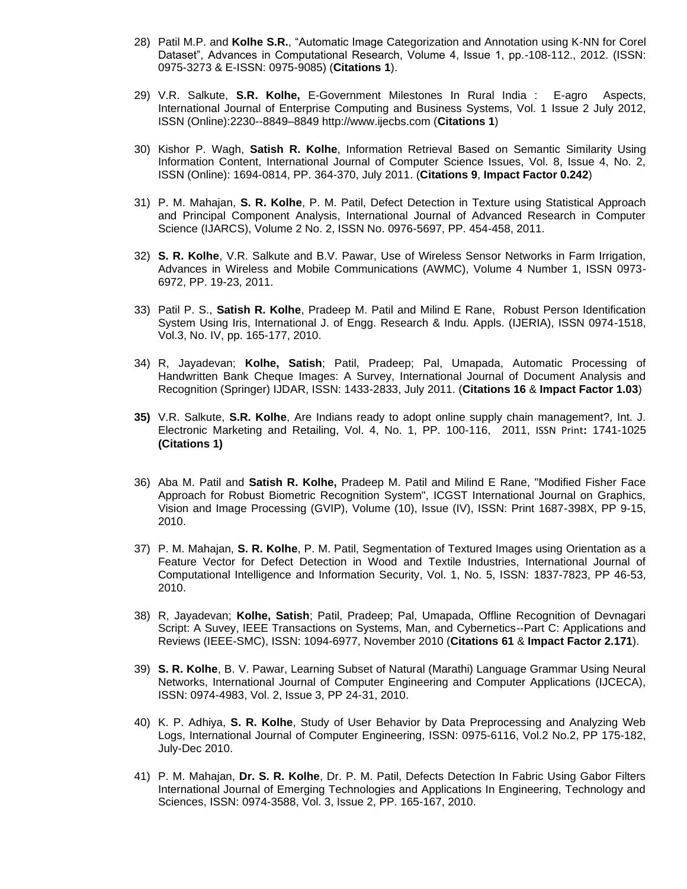- 28) Patil M.P. and **Kolhe S.R.**, "Automatic Image Categorization and Annotation using K-NN for Corel Dataset", Advances in Computational Research, Volume 4, Issue 1, pp.-108-112., 2012. (ISSN: 0975-3273 & E-ISSN: 0975-9085) (**Citations 1**).
- 29) V.R. Salkute, **S.R. Kolhe,** E-Government Milestones In Rural India : E-agro Aspects, International Journal of Enterprise Computing and Business Systems, Vol. 1 Issue 2 July 2012, ISSN (Online):2230--8849–8849 http://www.ijecbs.com (**Citations 1**)
- 30) Kishor P. Wagh, **Satish R. Kolhe**, Information Retrieval Based on Semantic Similarity Using Information Content, International Journal of Computer Science Issues, Vol. 8, Issue 4, No. 2, ISSN (Online): 1694-0814, PP. 364-370, July 2011. (**Citations 9**, **Impact Factor 0.242**)
- 31) P. M. Mahajan, **S. R. Kolhe**, P. M. Patil, Defect Detection in Texture using Statistical Approach and Principal Component Analysis, International Journal of Advanced Research in Computer Science (IJARCS), Volume 2 No. 2, ISSN No. 0976-5697, PP. 454-458, 2011.
- 32) **S. R. Kolhe**, V.R. Salkute and B.V. Pawar, Use of Wireless Sensor Networks in Farm Irrigation, Advances in Wireless and Mobile Communications (AWMC), Volume 4 Number 1, ISSN 0973- 6972, PP. 19-23, 2011.
- 33) Patil P. S., **Satish R. Kolhe**, Pradeep M. Patil and Milind E Rane, Robust Person Identification System Using Iris, International J. of Engg. Research & Indu. Appls. (IJERIA), ISSN 0974-1518, Vol.3, No. IV, pp. 165-177, 2010.
- 34) R, Jayadevan; **Kolhe, Satish**; Patil, Pradeep; Pal, Umapada, Automatic Processing of Handwritten Bank Cheque Images: A Survey, International Journal of Document Analysis and Recognition (Springer) IJDAR, ISSN: 1433-2833, July 2011. (**Citations 16** & **Impact Factor 1.03**)
- **35)** V.R. Salkute, **S.R. Kolhe**, Are Indians ready to adopt online supply chain management?, Int. J. Electronic Marketing and Retailing, Vol. 4, No. 1, PP. 100-116, 2011, ISSN Print**:** 1741-1025 **(Citations 1)**
- 36) Aba M. Patil and **Satish R. Kolhe,** Pradeep M. Patil and Milind E Rane, "Modified Fisher Face Approach for Robust Biometric Recognition System", ICGST International Journal on Graphics, Vision and Image Processing (GVIP), Volume (10), Issue (IV), ISSN: Print 1687-398X, PP 9-15, 2010.
- 37) P. M. Mahajan, **S. R. Kolhe**, P. M. Patil, Segmentation of Textured Images using Orientation as a Feature Vector for Defect Detection in Wood and Textile Industries, International Journal of Computational Intelligence and Information Security, Vol. 1, No. 5, ISSN: 1837-7823, PP 46-53, 2010.
- 38) R, Jayadevan; **Kolhe, Satish**; Patil, Pradeep; Pal, Umapada, Offline Recognition of Devnagari Script: A Suvey, IEEE Transactions on Systems, Man, and Cybernetics--Part C: Applications and Reviews (IEEE-SMC), ISSN: 1094-6977, November 2010 (**Citations 61** & **Impact Factor 2.171**).
- 39) **S. R. Kolhe**, B. V. Pawar, Learning Subset of Natural (Marathi) Language Grammar Using Neural Networks, International Journal of Computer Engineering and Computer Applications (IJCECA), ISSN: 0974-4983, Vol. 2, Issue 3, PP 24-31, 2010.
- 40) K. P. Adhiya, **S. R. Kolhe**, Study of User Behavior by Data Preprocessing and Analyzing Web Logs, International Journal of Computer Engineering, ISSN: 0975-6116, Vol.2 No.2, PP 175-182, July-Dec 2010.
- 41) P. M. Mahajan, **Dr. S. R. Kolhe**, Dr. P. M. Patil, Defects Detection In Fabric Using Gabor Filters International Journal of Emerging Technologies and Applications In Engineering, Technology and Sciences, ISSN: 0974-3588, Vol. 3, Issue 2, PP. 165-167, 2010.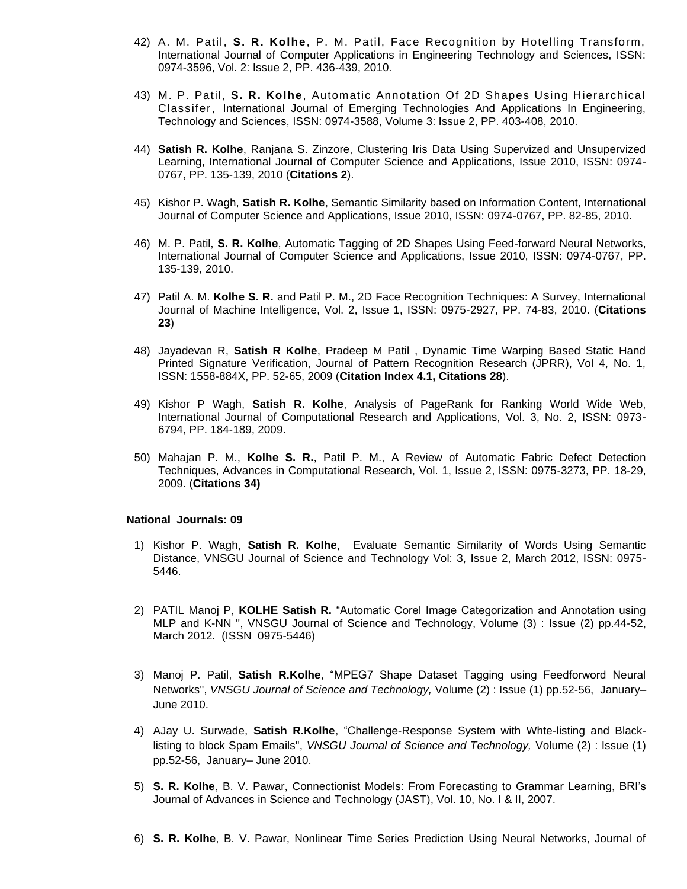- 42) A. M. Patil, **S. R. Kolhe**, P. M. Patil, Face Recognition by Hotelling Transform, International Journal of Computer Applications in Engineering Technology and Sciences, ISSN: 0974-3596, Vol. 2: Issue 2, PP. 436-439, 2010.
- 43) M. P. Patil, **S. R. Kolhe**, Automatic Annotation Of 2D Shapes Using Hierarchical Classifer, International Journal of Emerging Technologies And Applications In Engineering, Technology and Sciences, ISSN: 0974-3588, Volume 3: Issue 2, PP. 403-408, 2010.
- 44) **Satish R. Kolhe**, Ranjana S. Zinzore, Clustering Iris Data Using Supervized and Unsupervized Learning, International Journal of Computer Science and Applications, Issue 2010, ISSN: 0974- 0767, PP. 135-139, 2010 (**Citations 2**).
- 45) Kishor P. Wagh, **Satish R. Kolhe**, Semantic Similarity based on Information Content, International Journal of Computer Science and Applications, Issue 2010, ISSN: 0974-0767, PP. 82-85, 2010.
- 46) M. P. Patil, **S. R. Kolhe**, Automatic Tagging of 2D Shapes Using Feed-forward Neural Networks, International Journal of Computer Science and Applications, Issue 2010, ISSN: 0974-0767, PP. 135-139, 2010.
- 47) Patil A. M. **Kolhe S. R.** and Patil P. M., 2D Face Recognition Techniques: A Survey, International Journal of Machine Intelligence, Vol. 2, Issue 1, ISSN: 0975-2927, PP. 74-83, 2010. (**Citations 23**)
- 48) Jayadevan R, **Satish R Kolhe**, Pradeep M Patil , Dynamic Time Warping Based Static Hand Printed Signature Verification, Journal of Pattern Recognition Research (JPRR), Vol 4, No. 1, ISSN: 1558-884X, PP. 52-65, 2009 (**Citation Index 4.1, Citations 28**).
- 49) Kishor P Wagh, **Satish R. Kolhe**, Analysis of PageRank for Ranking World Wide Web, International Journal of Computational Research and Applications, Vol. 3, No. 2, ISSN: 0973- 6794, PP. 184-189, 2009.
- 50) Mahajan P. M., **Kolhe S. R.**, Patil P. M., A Review of Automatic Fabric Defect Detection Techniques, Advances in Computational Research, Vol. 1, Issue 2, ISSN: 0975-3273, PP. 18-29, 2009. (**Citations 34)**

#### **National Journals: 09**

- 1) Kishor P. Wagh, **Satish R. Kolhe**, Evaluate Semantic Similarity of Words Using Semantic Distance, VNSGU Journal of Science and Technology Vol: 3, Issue 2, March 2012, ISSN: 0975- 5446.
- 2) PATIL Manoj P, **KOLHE Satish R.** "Automatic Corel Image Categorization and Annotation using MLP and K-NN ", VNSGU Journal of Science and Technology, Volume (3) : Issue (2) pp.44-52, March 2012. (ISSN 0975-5446)
- 3) Manoj P. Patil, **Satish R.Kolhe**, "MPEG7 Shape Dataset Tagging using Feedforword Neural Networks", *VNSGU Journal of Science and Technology,* Volume (2) : Issue (1) pp.52-56, January– June 2010.
- 4) AJay U. Surwade, **Satish R.Kolhe**, "Challenge-Response System with Whte-listing and Blacklisting to block Spam Emails", *VNSGU Journal of Science and Technology,* Volume (2) : Issue (1) pp.52-56, January– June 2010.
- 5) **S. R. Kolhe**, B. V. Pawar, Connectionist Models: From Forecasting to Grammar Learning, BRI's Journal of Advances in Science and Technology (JAST), Vol. 10, No. I & II, 2007.
- 6) **S. R. Kolhe**, B. V. Pawar, Nonlinear Time Series Prediction Using Neural Networks, Journal of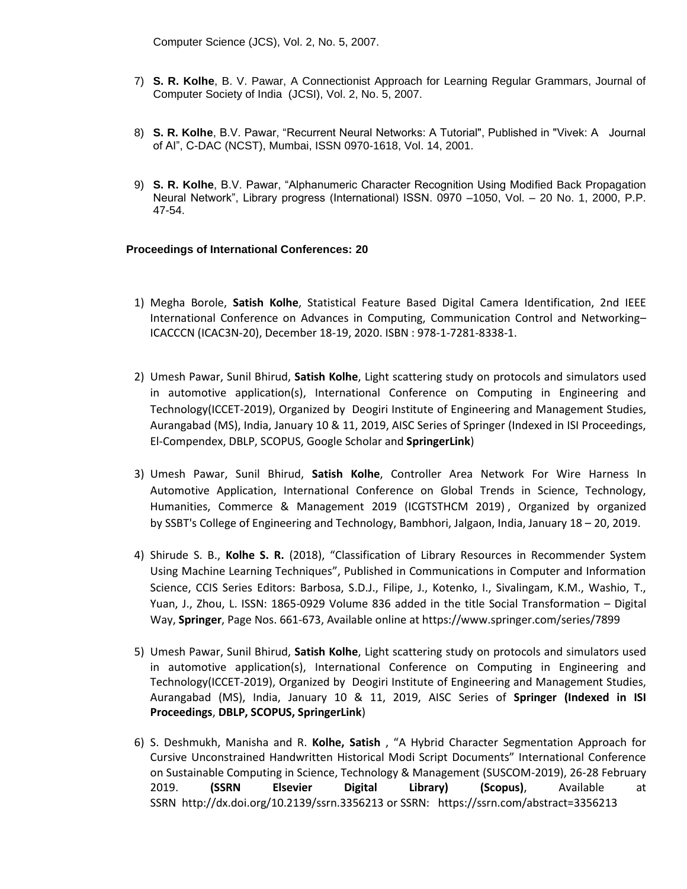Computer Science (JCS), Vol. 2, No. 5, 2007.

- 7) **S. R. Kolhe**, B. V. Pawar, A Connectionist Approach for Learning Regular Grammars, Journal of Computer Society of India (JCSI), Vol. 2, No. 5, 2007.
- 8) **S. R. Kolhe**, B.V. Pawar, "Recurrent Neural Networks: A Tutorial", Published in "Vivek: A Journal of AI", C-DAC (NCST), Mumbai, ISSN 0970-1618, Vol. 14, 2001.
- 9) **S. R. Kolhe**, B.V. Pawar, "Alphanumeric Character Recognition Using Modified Back Propagation Neural Network", Library progress (International) ISSN. 0970 –1050, Vol. – 20 No. 1, 2000, P.P. 47-54.

#### **Proceedings of International Conferences: 20**

- 1) Megha Borole, **Satish Kolhe**, Statistical Feature Based Digital Camera Identification, 2nd IEEE International Conference on Advances in Computing, Communication Control and Networking– ICACCCN (ICAC3N-20), December 18-19, 2020. ISBN : 978-1-7281-8338-1.
- 2) Umesh Pawar, Sunil Bhirud, **Satish Kolhe**, Light scattering study on protocols and simulators used in automotive application(s), International Conference on Computing in Engineering and Technology(ICCET-2019), Organized by Deogiri Institute of Engineering and Management Studies, Aurangabad (MS), India, January 10 & 11, 2019, AISC Series of Springer (Indexed in ISI Proceedings, El-Compendex, DBLP, SCOPUS, Google Scholar and **SpringerLink**)
- 3) Umesh Pawar, Sunil Bhirud, **Satish Kolhe**, Controller Area Network For Wire Harness In Automotive Application, International Conference on Global Trends in Science, Technology, Humanities, Commerce & Management 2019 (ICGTSTHCM 2019) , Organized by organized by SSBT's College of Engineering and Technology, Bambhori, Jalgaon, India, January 18 – 20, 2019.
- 4) Shirude S. B., **Kolhe S. R.** (2018), "Classification of Library Resources in Recommender System Using Machine Learning Techniques", Published in Communications in Computer and Information Science, CCIS Series Editors: Barbosa, S.D.J., Filipe, J., Kotenko, I., Sivalingam, K.M., Washio, T., Yuan, J., Zhou, L. ISSN: 1865-0929 Volume 836 added in the title Social Transformation – Digital Way, **Springer**, Page Nos. 661-673, Available online a[t https://www.springer.com/series/7899](https://www.springer.com/series/7899)
- 5) Umesh Pawar, Sunil Bhirud, **Satish Kolhe**, Light scattering study on protocols and simulators used in automotive application(s), International Conference on Computing in Engineering and Technology(ICCET-2019), Organized by Deogiri Institute of Engineering and Management Studies, Aurangabad (MS), India, January 10 & 11, 2019, AISC Series of **Springer (Indexed in ISI Proceedings**, **DBLP, SCOPUS, SpringerLink**)
- 6) S. Deshmukh, Manisha and R. **Kolhe, Satish** , "A Hybrid Character Segmentation Approach for Cursive Unconstrained Handwritten Historical Modi Script Documents" International Conference on Sustainable Computing in Science, Technology & Management (SUSCOM-2019), 26-28 February 2019. **(SSRN Elsevier Digital Library) (Scopus)**, Available at SSRN <http://dx.doi.org/10.2139/ssrn.3356213> or SSRN:<https://ssrn.com/abstract=3356213>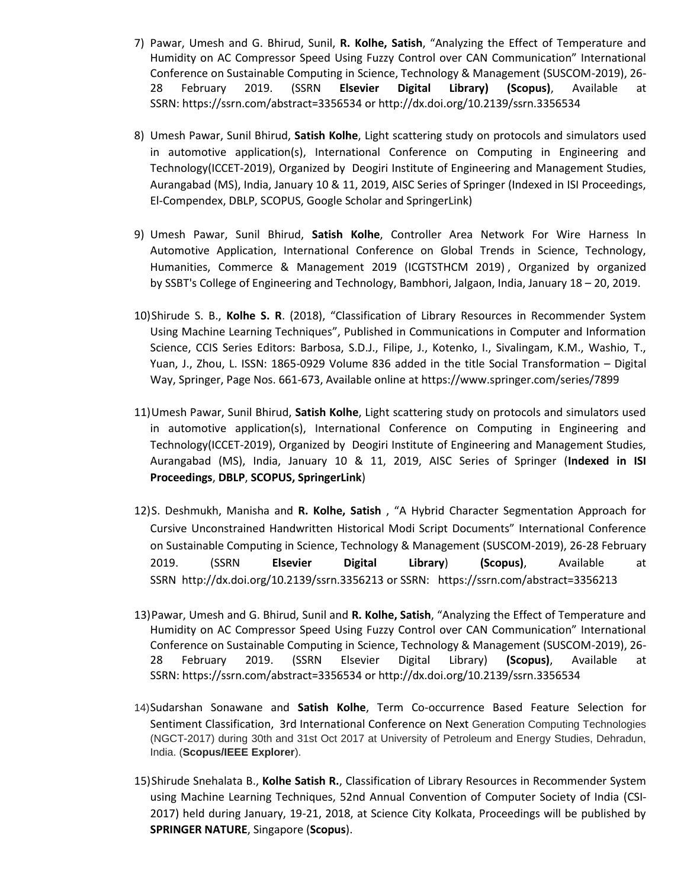- 7) Pawar, Umesh and G. Bhirud, Sunil, **R. Kolhe, Satish**, "Analyzing the Effect of Temperature and Humidity on AC Compressor Speed Using Fuzzy Control over CAN Communication" International Conference on Sustainable Computing in Science, Technology & Management (SUSCOM-2019), 26- 28 February 2019. (SSRN **Elsevier Digital Library) (Scopus)**, Available at SSRN: <https://ssrn.com/abstract=3356534> or [http://dx.doi.org/10.2139/ssrn.3356534](https://dx.doi.org/10.2139/ssrn.3356534)
- 8) Umesh Pawar, Sunil Bhirud, **Satish Kolhe**, Light scattering study on protocols and simulators used in automotive application(s), International Conference on Computing in Engineering and Technology(ICCET-2019), Organized by Deogiri Institute of Engineering and Management Studies, Aurangabad (MS), India, January 10 & 11, 2019, AISC Series of Springer (Indexed in ISI Proceedings, El-Compendex, DBLP, SCOPUS, Google Scholar and SpringerLink)
- 9) Umesh Pawar, Sunil Bhirud, **Satish Kolhe**, Controller Area Network For Wire Harness In Automotive Application, International Conference on Global Trends in Science, Technology, Humanities, Commerce & Management 2019 (ICGTSTHCM 2019) , Organized by organized by SSBT's College of Engineering and Technology, Bambhori, Jalgaon, India, January 18 – 20, 2019.
- 10)Shirude S. B., **Kolhe S. R**. (2018), "Classification of Library Resources in Recommender System Using Machine Learning Techniques", Published in Communications in Computer and Information Science, CCIS Series Editors: Barbosa, S.D.J., Filipe, J., Kotenko, I., Sivalingam, K.M., Washio, T., Yuan, J., Zhou, L. ISSN: 1865-0929 Volume 836 added in the title Social Transformation – Digital Way, Springer, Page Nos. 661-673, Available online a[t https://www.springer.com/series/7899](https://www.springer.com/series/7899)
- 11)Umesh Pawar, Sunil Bhirud, **Satish Kolhe**, Light scattering study on protocols and simulators used in automotive application(s), International Conference on Computing in Engineering and Technology(ICCET-2019), Organized by Deogiri Institute of Engineering and Management Studies, Aurangabad (MS), India, January 10 & 11, 2019, AISC Series of Springer (**Indexed in ISI Proceedings**, **DBLP**, **SCOPUS, SpringerLink**)
- 12)S. Deshmukh, Manisha and **R. Kolhe, Satish** , "A Hybrid Character Segmentation Approach for Cursive Unconstrained Handwritten Historical Modi Script Documents" International Conference on Sustainable Computing in Science, Technology & Management (SUSCOM-2019), 26-28 February 2019. (SSRN **Elsevier Digital Library**) **(Scopus)**, Available at SSRN <http://dx.doi.org/10.2139/ssrn.3356213> or SSRN:<https://ssrn.com/abstract=3356213>
- 13)Pawar, Umesh and G. Bhirud, Sunil and **R. Kolhe, Satish**, "Analyzing the Effect of Temperature and Humidity on AC Compressor Speed Using Fuzzy Control over CAN Communication" International Conference on Sustainable Computing in Science, Technology & Management (SUSCOM-2019), 26- 28 February 2019. (SSRN Elsevier Digital Library) **(Scopus)**, Available at SSRN: <https://ssrn.com/abstract=3356534> or [http://dx.doi.org/10.2139/ssrn.3356534](https://dx.doi.org/10.2139/ssrn.3356534)
- 14)Sudarshan Sonawane and **Satish Kolhe**, Term Co-occurrence Based Feature Selection for Sentiment Classification, 3rd International Conference on Next Generation Computing Technologies (NGCT-2017) during 30th and 31st Oct 2017 at University of Petroleum and Energy Studies, Dehradun, India. (**Scopus/IEEE Explorer**).
- 15)Shirude Snehalata B., **Kolhe Satish R.**, Classification of Library Resources in Recommender System using Machine Learning Techniques, 52nd Annual Convention of Computer Society of India (CSI-2017) held during January, 19-21, 2018, at Science City Kolkata, Proceedings will be published by **SPRINGER NATURE**, Singapore (**Scopus**).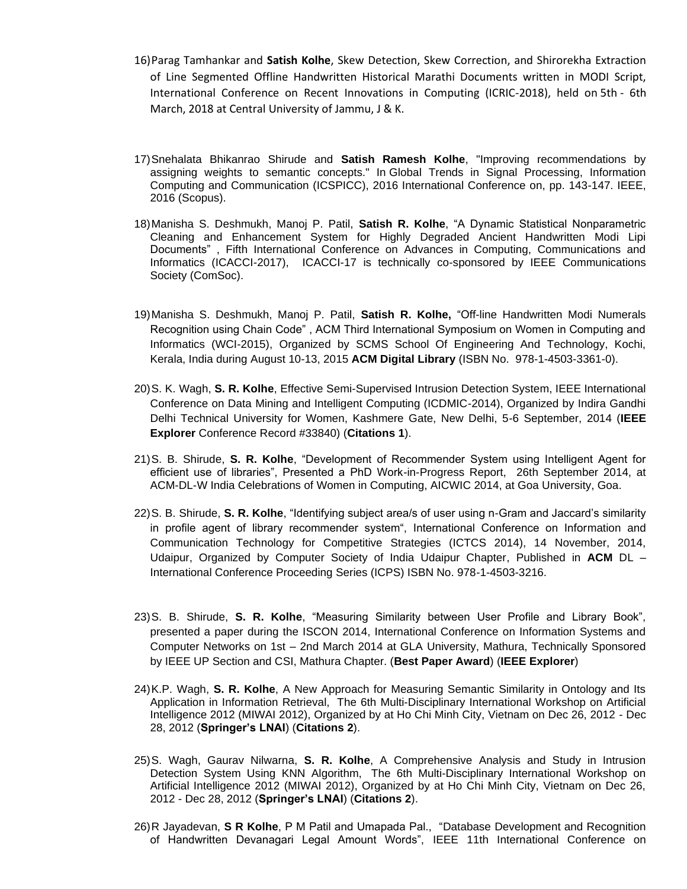- 16)Parag Tamhankar and **Satish Kolhe**, Skew Detection, Skew Correction, and Shirorekha Extraction of Line Segmented Offline Handwritten Historical Marathi Documents written in MODI Script, International Conference on Recent Innovations in Computing (ICRIC-2018), held on 5th - 6th March, 2018 at Central University of Jammu, J & K.
- 17)Snehalata Bhikanrao Shirude and **Satish Ramesh Kolhe**, "Improving recommendations by assigning weights to semantic concepts." In Global Trends in Signal Processing, Information Computing and Communication (ICSPICC), 2016 International Conference on, pp. 143-147. IEEE, 2016 (Scopus).
- 18)Manisha S. Deshmukh, Manoj P. Patil, **Satish R. Kolhe**, "A Dynamic Statistical Nonparametric Cleaning and Enhancement System for Highly Degraded Ancient Handwritten Modi Lipi Documents" , Fifth International Conference on Advances in Computing, Communications and Informatics (ICACCI-2017), ICACCI-17 is technically co-sponsored by IEEE Communications Society (ComSoc).
- 19)Manisha S. Deshmukh, Manoj P. Patil, **Satish R. Kolhe,** "Off-line Handwritten Modi Numerals Recognition using Chain Code" , ACM Third International Symposium on Women in Computing and Informatics (WCI-2015), Organized by SCMS School Of Engineering And Technology, Kochi, Kerala, India during August 10-13, 2015 **ACM Digital Library** (ISBN No. 978-1-4503-3361-0).
- 20)S. K. Wagh, **S. R. Kolhe**, Effective Semi-Supervised Intrusion Detection System, IEEE International Conference on Data Mining and Intelligent Computing (ICDMIC-2014), Organized by Indira Gandhi Delhi Technical University for Women, Kashmere Gate, New Delhi, 5-6 September, 2014 (**IEEE Explorer** Conference Record #33840) (**Citations 1**).
- 21)S. B. Shirude, **S. R. Kolhe**, "Development of Recommender System using Intelligent Agent for efficient use of libraries", Presented a PhD Work-in-Progress Report, 26th September 2014, at ACM-DL-W India Celebrations of Women in Computing, AICWIC 2014, at Goa University, Goa.
- 22)S. B. Shirude, **S. R. Kolhe**, "Identifying subject area/s of user using n-Gram and Jaccard's similarity in profile agent of library recommender system", International Conference on Information and Communication Technology for Competitive Strategies (ICTCS 2014), 14 November, 2014, Udaipur, Organized by Computer Society of India Udaipur Chapter, Published in **ACM** DL – International Conference Proceeding Series (ICPS) ISBN No. 978-1-4503-3216.
- 23)S. B. Shirude, **S. R. Kolhe**, "Measuring Similarity between User Profile and Library Book", presented a paper during the ISCON 2014, International Conference on Information Systems and Computer Networks on 1st – 2nd March 2014 at GLA University, Mathura, Technically Sponsored by IEEE UP Section and CSI, Mathura Chapter. (**Best Paper Award**) (**IEEE Explorer**)
- 24)K.P. Wagh, **S. R. Kolhe**, A New Approach for Measuring Semantic Similarity in Ontology and Its Application in Information Retrieval, The 6th Multi-Disciplinary International Workshop on Artificial Intelligence 2012 (MIWAI 2012), Organized by at Ho Chi Minh City, Vietnam on Dec 26, 2012 - Dec 28, 2012 (**Springer's LNAI**) (**Citations 2**).
- 25)S. Wagh, Gaurav Nilwarna, **S. R. Kolhe**, A Comprehensive Analysis and Study in Intrusion Detection System Using KNN Algorithm, The 6th Multi-Disciplinary International Workshop on Artificial Intelligence 2012 (MIWAI 2012), Organized by at Ho Chi Minh City, Vietnam on Dec 26, 2012 - Dec 28, 2012 (**Springer's LNAI**) (**Citations 2**).
- 26)R Jayadevan, **S R Kolhe**, P M Patil and Umapada Pal., "Database Development and Recognition of Handwritten Devanagari Legal Amount Words", IEEE 11th International Conference on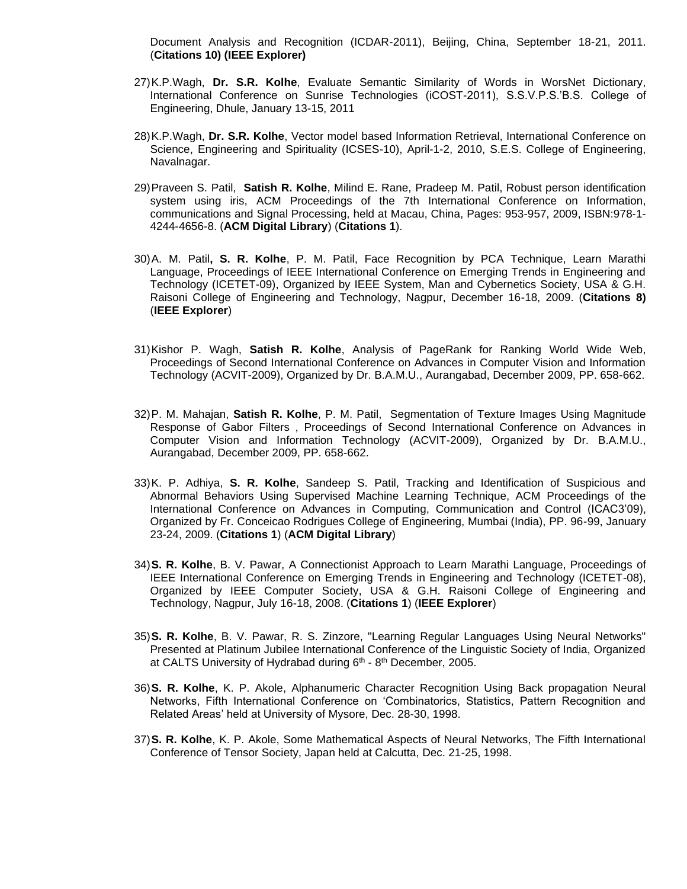Document Analysis and Recognition (ICDAR-2011), Beijing, China, September 18-21, 2011. (**Citations 10) (IEEE Explorer)**

- 27)K.P.Wagh, **Dr. S.R. Kolhe**, Evaluate Semantic Similarity of Words in WorsNet Dictionary, International Conference on Sunrise Technologies (iCOST-2011), S.S.V.P.S.'B.S. College of Engineering, Dhule, January 13-15, 2011
- 28)K.P.Wagh, **Dr. S.R. Kolhe**, Vector model based Information Retrieval, International Conference on Science, Engineering and Spirituality (ICSES-10), April-1-2, 2010, S.E.S. College of Engineering, Navalnagar.
- 29[\)Praveen S. Patil,](http://portal.acm.org/author_page.cfm?id=81464651274&coll=GUIDE&dl=GUIDE&trk=0&CFID=104751090&CFTOKEN=75733692) **[Satish R. Kolhe](http://portal.acm.org/author_page.cfm?id=81456619516&coll=GUIDE&dl=GUIDE&trk=0&CFID=104751090&CFTOKEN=75733692)**, [Milind E. Rane,](http://portal.acm.org/author_page.cfm?id=81464676577&coll=GUIDE&dl=GUIDE&trk=0&CFID=104751090&CFTOKEN=75733692) [Pradeep M. Patil,](http://portal.acm.org/author_page.cfm?id=81309497710&coll=GUIDE&dl=GUIDE&trk=0&CFID=104751090&CFTOKEN=75733692) Robust person identification system using iris, ACM Proceedings of the 7th International Conference on Information, communications and Signal Processing, held at Macau, China, Pages: 953-957, 2009, ISBN:978-1- 4244-4656-8. (**ACM Digital Library**) (**Citations 1**).
- 30)A. M. Patil**, S. R. Kolhe**, P. M. Patil, Face Recognition by PCA Technique, Learn Marathi Language, Proceedings of IEEE International Conference on Emerging Trends in Engineering and Technology (ICETET-09), Organized by IEEE System, Man and Cybernetics Society, USA & G.H. Raisoni College of Engineering and Technology, Nagpur, December 16-18, 2009. (**Citations 8)** (**IEEE Explorer**)
- 31)Kishor P. Wagh, **Satish R. Kolhe**, Analysis of PageRank for Ranking World Wide Web, Proceedings of Second International Conference on Advances in Computer Vision and Information Technology (ACVIT-2009), Organized by Dr. B.A.M.U., Aurangabad, December 2009, PP. 658-662.
- 32)P. M. Mahajan, **Satish R. Kolhe**, P. M. Patil, Segmentation of Texture Images Using Magnitude Response of Gabor Filters , Proceedings of Second International Conference on Advances in Computer Vision and Information Technology (ACVIT-2009), Organized by Dr. B.A.M.U., Aurangabad, December 2009, PP. 658-662.
- 33)K. P. Adhiya, **S. R. Kolhe**, Sandeep S. Patil, Tracking and Identification of Suspicious and Abnormal Behaviors Using Supervised Machine Learning Technique, ACM Proceedings of the International Conference on Advances in Computing, Communication and Control (ICAC3'09), Organized by Fr. Conceicao Rodrigues College of Engineering, Mumbai (India), PP. 96-99, January 23-24, 2009. (**Citations 1**) (**ACM Digital Library**)
- 34)**S. R. Kolhe**, B. V. Pawar, A Connectionist Approach to Learn Marathi Language, Proceedings of IEEE International Conference on Emerging Trends in Engineering and Technology (ICETET-08), Organized by IEEE Computer Society, USA & G.H. Raisoni College of Engineering and Technology, Nagpur, July 16-18, 2008. (**Citations 1**) (**IEEE Explorer**)
- 35)**S. R. Kolhe**, B. V. Pawar, R. S. Zinzore, "Learning Regular Languages Using Neural Networks" Presented at Platinum Jubilee International Conference of the Linguistic Society of India, Organized at CALTS University of Hydrabad during 6<sup>th</sup> - 8<sup>th</sup> December, 2005.
- 36)**S. R. Kolhe**, K. P. Akole, Alphanumeric Character Recognition Using Back propagation Neural Networks, Fifth International Conference on 'Combinatorics, Statistics, Pattern Recognition and Related Areas' held at University of Mysore, Dec. 28-30, 1998.
- 37)**S. R. Kolhe**, K. P. Akole, Some Mathematical Aspects of Neural Networks, The Fifth International Conference of Tensor Society, Japan held at Calcutta, Dec. 21-25, 1998.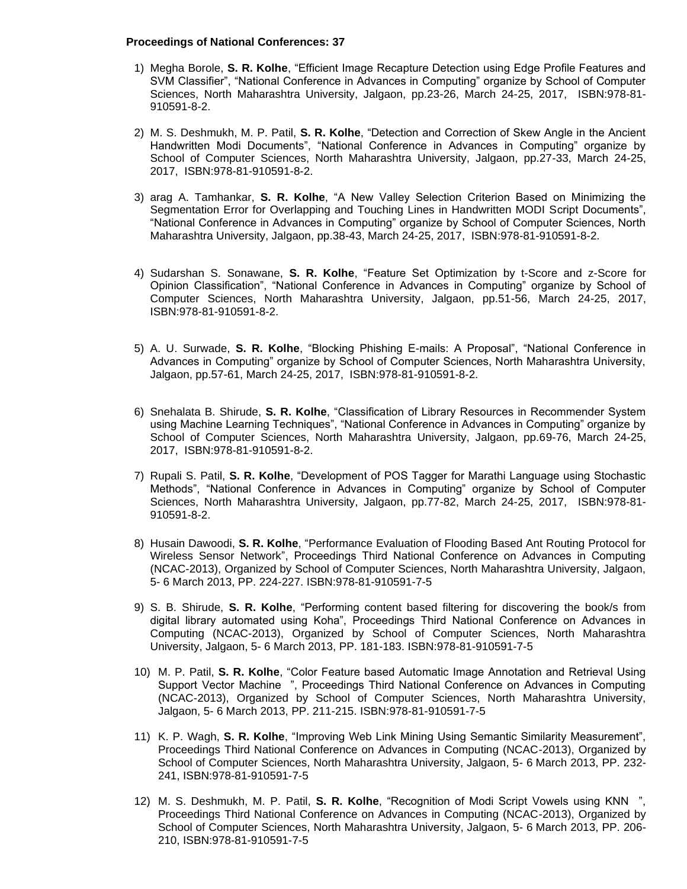#### **Proceedings of National Conferences: 37**

- 1) Megha Borole, **S. R. Kolhe**, "Efficient Image Recapture Detection using Edge Profile Features and SVM Classifier", "National Conference in Advances in Computing" organize by School of Computer Sciences, North Maharashtra University, Jalgaon, pp.23-26, March 24-25, 2017, ISBN:978-81- 910591-8-2.
- 2) M. S. Deshmukh, M. P. Patil, **S. R. Kolhe**, "Detection and Correction of Skew Angle in the Ancient Handwritten Modi Documents", "National Conference in Advances in Computing" organize by School of Computer Sciences, North Maharashtra University, Jalgaon, pp.27-33, March 24-25, 2017, ISBN:978-81-910591-8-2.
- 3) arag A. Tamhankar, **S. R. Kolhe**, "A New Valley Selection Criterion Based on Minimizing the Segmentation Error for Overlapping and Touching Lines in Handwritten MODI Script Documents", "National Conference in Advances in Computing" organize by School of Computer Sciences, North Maharashtra University, Jalgaon, pp.38-43, March 24-25, 2017, ISBN:978-81-910591-8-2.
- 4) Sudarshan S. Sonawane, **S. R. Kolhe**, "Feature Set Optimization by t-Score and z-Score for Opinion Classification", "National Conference in Advances in Computing" organize by School of Computer Sciences, North Maharashtra University, Jalgaon, pp.51-56, March 24-25, 2017, ISBN:978-81-910591-8-2.
- 5) A. U. Surwade, **S. R. Kolhe**, "Blocking Phishing E-mails: A Proposal", "National Conference in Advances in Computing" organize by School of Computer Sciences, North Maharashtra University, Jalgaon, pp.57-61, March 24-25, 2017, ISBN:978-81-910591-8-2.
- 6) Snehalata B. Shirude, **S. R. Kolhe**, "Classification of Library Resources in Recommender System using Machine Learning Techniques", "National Conference in Advances in Computing" organize by School of Computer Sciences, North Maharashtra University, Jalgaon, pp.69-76, March 24-25, 2017, ISBN:978-81-910591-8-2.
- 7) Rupali S. Patil, **S. R. Kolhe**, "Development of POS Tagger for Marathi Language using Stochastic Methods", "National Conference in Advances in Computing" organize by School of Computer Sciences, North Maharashtra University, Jalgaon, pp.77-82, March 24-25, 2017, ISBN:978-81- 910591-8-2.
- 8) Husain Dawoodi, **S. R. Kolhe**, "Performance Evaluation of Flooding Based Ant Routing Protocol for Wireless Sensor Network", Proceedings Third National Conference on Advances in Computing (NCAC-2013), Organized by School of Computer Sciences, North Maharashtra University, Jalgaon, 5- 6 March 2013, PP. 224-227. ISBN:978-81-910591-7-5
- 9) S. B. Shirude, **S. R. Kolhe**, "Performing content based filtering for discovering the book/s from digital library automated using Koha", Proceedings Third National Conference on Advances in Computing (NCAC-2013), Organized by School of Computer Sciences, North Maharashtra University, Jalgaon, 5- 6 March 2013, PP. 181-183. ISBN:978-81-910591-7-5
- 10) M. P. Patil, **S. R. Kolhe**, "Color Feature based Automatic Image Annotation and Retrieval Using Support Vector Machine ", Proceedings Third National Conference on Advances in Computing (NCAC-2013), Organized by School of Computer Sciences, North Maharashtra University, Jalgaon, 5- 6 March 2013, PP. 211-215. ISBN:978-81-910591-7-5
- 11) K. P. Wagh, **S. R. Kolhe**, "Improving Web Link Mining Using Semantic Similarity Measurement", Proceedings Third National Conference on Advances in Computing (NCAC-2013), Organized by School of Computer Sciences, North Maharashtra University, Jalgaon, 5- 6 March 2013, PP. 232- 241, ISBN:978-81-910591-7-5
- 12) M. S. Deshmukh, M. P. Patil, **S. R. Kolhe**, "Recognition of Modi Script Vowels using KNN ", Proceedings Third National Conference on Advances in Computing (NCAC-2013), Organized by School of Computer Sciences, North Maharashtra University, Jalgaon, 5- 6 March 2013, PP. 206- 210, ISBN:978-81-910591-7-5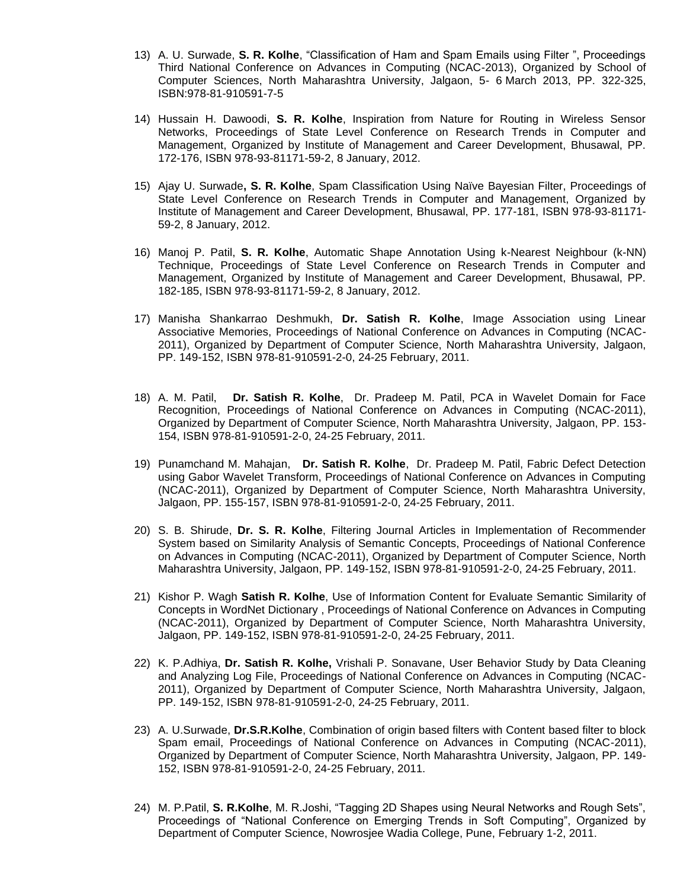- 13) A. U. Surwade, **S. R. Kolhe**, "Classification of Ham and Spam Emails using Filter ", Proceedings Third National Conference on Advances in Computing (NCAC-2013), Organized by School of Computer Sciences, North Maharashtra University, Jalgaon, 5- 6 March 2013, PP. 322-325, ISBN:978-81-910591-7-5
- 14) Hussain H. Dawoodi, **S. R. Kolhe**, Inspiration from Nature for Routing in Wireless Sensor Networks, Proceedings of State Level Conference on Research Trends in Computer and Management, Organized by Institute of Management and Career Development, Bhusawal, PP. 172-176, ISBN 978-93-81171-59-2, 8 January, 2012.
- 15) Ajay U. Surwade**, S. R. Kolhe**, Spam Classification Using Naïve Bayesian Filter, Proceedings of State Level Conference on Research Trends in Computer and Management, Organized by Institute of Management and Career Development, Bhusawal, PP. 177-181, ISBN 978-93-81171- 59-2, 8 January, 2012.
- 16) Manoj P. Patil, **S. R. Kolhe**, Automatic Shape Annotation Using k-Nearest Neighbour (k-NN) Technique, Proceedings of State Level Conference on Research Trends in Computer and Management, Organized by Institute of Management and Career Development, Bhusawal, PP. 182-185, ISBN 978-93-81171-59-2, 8 January, 2012.
- 17) Manisha Shankarrao Deshmukh, **Dr. Satish R. Kolhe**, Image Association using Linear Associative Memories, Proceedings of National Conference on Advances in Computing (NCAC-2011), Organized by Department of Computer Science, North Maharashtra University, Jalgaon, PP. 149-152, ISBN 978-81-910591-2-0, 24-25 February, 2011.
- 18) A. M. Patil, **Dr. Satish R. Kolhe**, Dr. Pradeep M. Patil, PCA in Wavelet Domain for Face Recognition, Proceedings of National Conference on Advances in Computing (NCAC-2011), Organized by Department of Computer Science, North Maharashtra University, Jalgaon, PP. 153- 154, ISBN 978-81-910591-2-0, 24-25 February, 2011.
- 19) Punamchand M. Mahajan, **Dr. Satish R. Kolhe**, Dr. Pradeep M. Patil, Fabric Defect Detection using Gabor Wavelet Transform, Proceedings of National Conference on Advances in Computing (NCAC-2011), Organized by Department of Computer Science, North Maharashtra University, Jalgaon, PP. 155-157, ISBN 978-81-910591-2-0, 24-25 February, 2011.
- 20) S. B. Shirude, **Dr. S. R. Kolhe**, Filtering Journal Articles in Implementation of Recommender System based on Similarity Analysis of Semantic Concepts, Proceedings of National Conference on Advances in Computing (NCAC-2011), Organized by Department of Computer Science, North Maharashtra University, Jalgaon, PP. 149-152, ISBN 978-81-910591-2-0, 24-25 February, 2011.
- 21) Kishor P. Wagh **Satish R. Kolhe**, Use of Information Content for Evaluate Semantic Similarity of Concepts in WordNet Dictionary , Proceedings of National Conference on Advances in Computing (NCAC-2011), Organized by Department of Computer Science, North Maharashtra University, Jalgaon, PP. 149-152, ISBN 978-81-910591-2-0, 24-25 February, 2011.
- 22) K. P.Adhiya, **Dr. Satish R. Kolhe,** Vrishali P. Sonavane, User Behavior Study by Data Cleaning and Analyzing Log File, Proceedings of National Conference on Advances in Computing (NCAC-2011), Organized by Department of Computer Science, North Maharashtra University, Jalgaon, PP. 149-152, ISBN 978-81-910591-2-0, 24-25 February, 2011.
- 23) A. U.Surwade, **Dr.S.R.Kolhe**, Combination of origin based filters with Content based filter to block Spam email, Proceedings of National Conference on Advances in Computing (NCAC-2011), Organized by Department of Computer Science, North Maharashtra University, Jalgaon, PP. 149- 152, ISBN 978-81-910591-2-0, 24-25 February, 2011.
- 24) M. P.Patil, **S. R.Kolhe**, M. R.Joshi, "Tagging 2D Shapes using Neural Networks and Rough Sets", Proceedings of "National Conference on Emerging Trends in Soft Computing", Organized by Department of Computer Science, Nowrosjee Wadia College, Pune, February 1-2, 2011.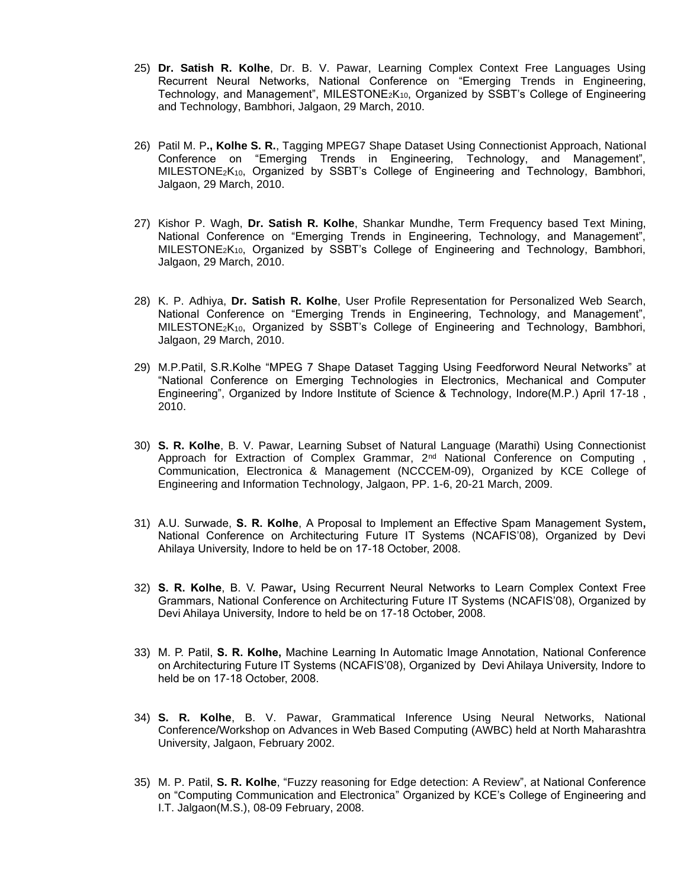- 25) **Dr. Satish R. Kolhe**, Dr. B. V. Pawar, Learning Complex Context Free Languages Using Recurrent Neural Networks, National Conference on "Emerging Trends in Engineering, Technology, and Management", MILESTONE<sub>2</sub>K<sub>10</sub>, Organized by SSBT's College of Engineering and Technology, Bambhori, Jalgaon, 29 March, 2010.
- 26) Patil M. P**., Kolhe S. R.**, Tagging MPEG7 Shape Dataset Using Connectionist Approach, National Conference on "Emerging Trends in Engineering, Technology, and Management", MILESTONE2K10, Organized by SSBT's College of Engineering and Technology, Bambhori, Jalgaon, 29 March, 2010.
- 27) Kishor P. Wagh, **Dr. Satish R. Kolhe**, Shankar Mundhe, Term Frequency based Text Mining, National Conference on "Emerging Trends in Engineering, Technology, and Management", MILESTONE<sub>2</sub>K<sub>10</sub>, Organized by SSBT's College of Engineering and Technology, Bambhori, Jalgaon, 29 March, 2010.
- 28) K. P. Adhiya, **Dr. Satish R. Kolhe**, User Profile Representation for Personalized Web Search, National Conference on "Emerging Trends in Engineering, Technology, and Management", MILESTONE2K10, Organized by SSBT's College of Engineering and Technology, Bambhori, Jalgaon, 29 March, 2010.
- 29) M.P.Patil, S.R.Kolhe "MPEG 7 Shape Dataset Tagging Using Feedforword Neural Networks" at "National Conference on Emerging Technologies in Electronics, Mechanical and Computer Engineering", Organized by Indore Institute of Science & Technology, Indore(M.P.) April 17-18 , 2010.
- 30) **S. R. Kolhe**, B. V. Pawar, Learning Subset of Natural Language (Marathi) Using Connectionist Approach for Extraction of Complex Grammar,  $2^{nd}$  National Conference on Computing Communication, Electronica & Management (NCCCEM-09), Organized by KCE College of Engineering and Information Technology, Jalgaon, PP. 1-6, 20-21 March, 2009.
- 31) A.U. Surwade, **S. R. Kolhe**, A Proposal to Implement an Effective Spam Management System**,**  National Conference on Architecturing Future IT Systems (NCAFIS'08), Organized by Devi Ahilaya University, Indore to held be on 17-18 October, 2008.
- 32) **S. R. Kolhe**, B. V. Pawar**,** Using Recurrent Neural Networks to Learn Complex Context Free Grammars, National Conference on Architecturing Future IT Systems (NCAFIS'08), Organized by Devi Ahilaya University, Indore to held be on 17-18 October, 2008.
- 33) M. P. Patil, **S. R. Kolhe,** Machine Learning In Automatic Image Annotation, National Conference on Architecturing Future IT Systems (NCAFIS'08), Organized by Devi Ahilaya University, Indore to held be on 17-18 October, 2008.
- 34) **S. R. Kolhe**, B. V. Pawar, Grammatical Inference Using Neural Networks, National Conference/Workshop on Advances in Web Based Computing (AWBC) held at North Maharashtra University, Jalgaon, February 2002.
- 35) M. P. Patil, **S. R. Kolhe**, "Fuzzy reasoning for Edge detection: A Review", at National Conference on "Computing Communication and Electronica" Organized by KCE's College of Engineering and I.T. Jalgaon(M.S.), 08-09 February, 2008.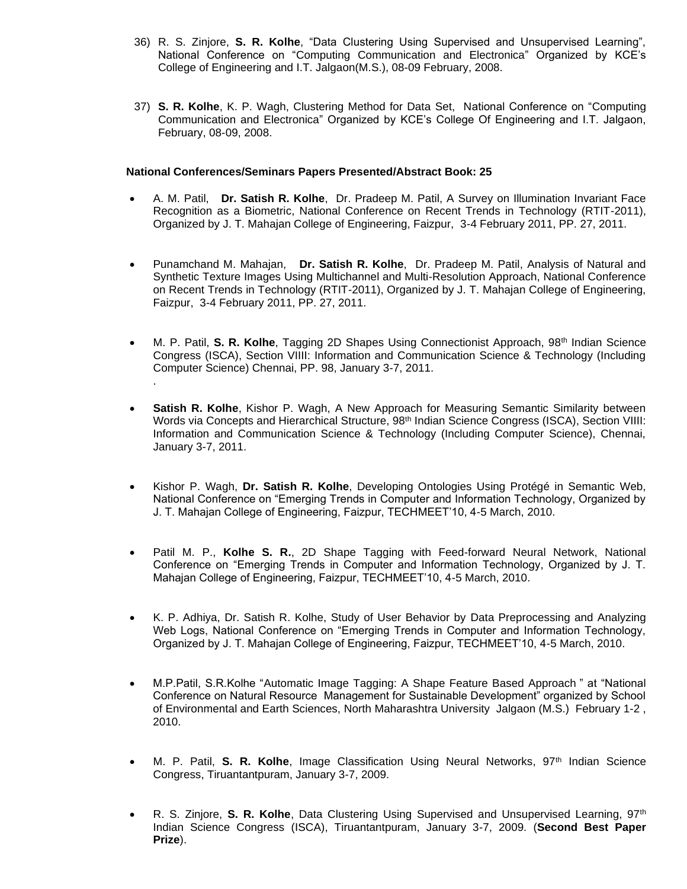- 36) R. S. Zinjore, **S. R. Kolhe**, "Data Clustering Using Supervised and Unsupervised Learning", National Conference on "Computing Communication and Electronica" Organized by KCE's College of Engineering and I.T. Jalgaon(M.S.), 08-09 February, 2008.
- 37) **S. R. Kolhe**, K. P. Wagh, Clustering Method for Data Set, National Conference on "Computing Communication and Electronica" Organized by KCE's College Of Engineering and I.T. Jalgaon, February, 08-09, 2008.

#### **National Conferences/Seminars Papers Presented/Abstract Book: 25**

- A. M. Patil, **Dr. Satish R. Kolhe**, Dr. Pradeep M. Patil, A Survey on Illumination Invariant Face Recognition as a Biometric, National Conference on Recent Trends in Technology (RTIT-2011), Organized by J. T. Mahajan College of Engineering, Faizpur, 3-4 February 2011, PP. 27, 2011.
- Punamchand M. Mahajan, **Dr. Satish R. Kolhe**, Dr. Pradeep M. Patil, Analysis of Natural and Synthetic Texture Images Using Multichannel and Multi-Resolution Approach, National Conference on Recent Trends in Technology (RTIT-2011), Organized by J. T. Mahajan College of Engineering, Faizpur, 3-4 February 2011, PP. 27, 2011.
- M. P. Patil, S. R. Kolhe, Tagging 2D Shapes Using Connectionist Approach, 98<sup>th</sup> Indian Science Congress (ISCA), Section VIIII: Information and Communication Science & Technology (Including Computer Science) Chennai, PP. 98, January 3-7, 2011. .
- **Satish R. Kolhe**, Kishor P. Wagh, A New Approach for Measuring Semantic Similarity between Words via Concepts and Hierarchical Structure, 98<sup>th</sup> Indian Science Congress (ISCA), Section VIIII: Information and Communication Science & Technology (Including Computer Science), Chennai, January 3-7, 2011.
- Kishor P. Wagh, **Dr. Satish R. Kolhe**, Developing Ontologies Using Protégé in Semantic Web, National Conference on "Emerging Trends in Computer and Information Technology, Organized by J. T. Mahajan College of Engineering, Faizpur, TECHMEET'10, 4-5 March, 2010.
- Patil M. P., **Kolhe S. R.**, 2D Shape Tagging with Feed-forward Neural Network, National Conference on "Emerging Trends in Computer and Information Technology, Organized by J. T. Mahajan College of Engineering, Faizpur, TECHMEET'10, 4-5 March, 2010.
- K. P. Adhiya, Dr. Satish R. Kolhe, Study of User Behavior by Data Preprocessing and Analyzing Web Logs, National Conference on "Emerging Trends in Computer and Information Technology, Organized by J. T. Mahajan College of Engineering, Faizpur, TECHMEET'10, 4-5 March, 2010.
- M.P.Patil, S.R.Kolhe "Automatic Image Tagging: A Shape Feature Based Approach " at "National Conference on Natural Resource Management for Sustainable Development" organized by School of Environmental and Earth Sciences, North Maharashtra University Jalgaon (M.S.) February 1-2 , 2010.
- M. P. Patil, S. R. Kolhe, Image Classification Using Neural Networks, 97<sup>th</sup> Indian Science Congress, Tiruantantpuram, January 3-7, 2009.
- R. S. Zinjore, **S. R. Kolhe**, Data Clustering Using Supervised and Unsupervised Learning, 97th Indian Science Congress (ISCA), Tiruantantpuram, January 3-7, 2009. (**Second Best Paper Prize**).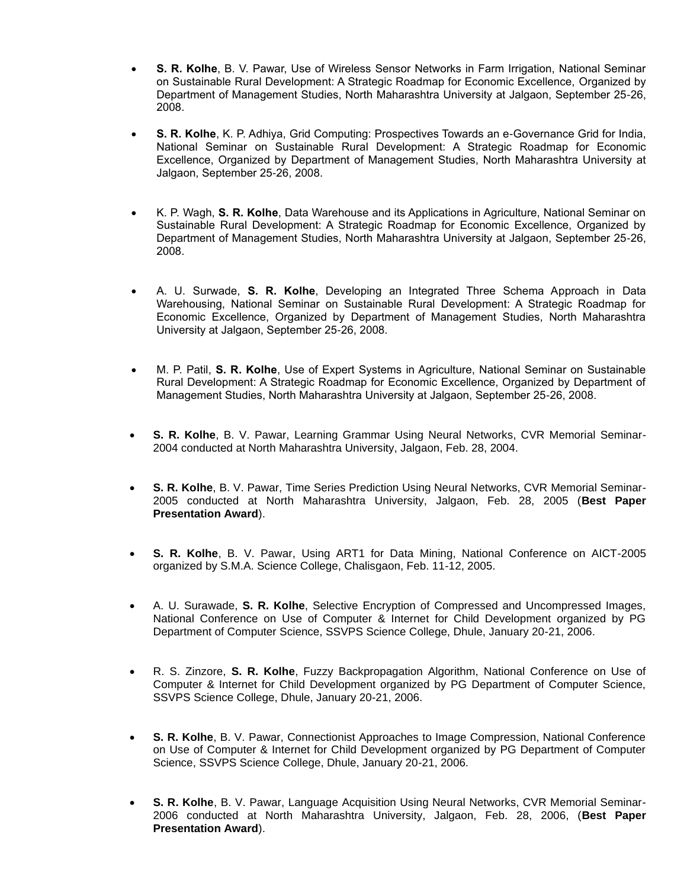- **S. R. Kolhe**, B. V. Pawar, Use of Wireless Sensor Networks in Farm Irrigation, National Seminar on Sustainable Rural Development: A Strategic Roadmap for Economic Excellence, Organized by Department of Management Studies, North Maharashtra University at Jalgaon, September 25-26, 2008.
- **S. R. Kolhe**, K. P. Adhiya, Grid Computing: Prospectives Towards an e-Governance Grid for India, National Seminar on Sustainable Rural Development: A Strategic Roadmap for Economic Excellence, Organized by Department of Management Studies, North Maharashtra University at Jalgaon, September 25-26, 2008.
- K. P. Wagh, **S. R. Kolhe**, Data Warehouse and its Applications in Agriculture, National Seminar on Sustainable Rural Development: A Strategic Roadmap for Economic Excellence, Organized by Department of Management Studies, North Maharashtra University at Jalgaon, September 25-26, 2008.
- A. U. Surwade, **S. R. Kolhe**, Developing an Integrated Three Schema Approach in Data Warehousing, National Seminar on Sustainable Rural Development: A Strategic Roadmap for Economic Excellence, Organized by Department of Management Studies, North Maharashtra University at Jalgaon, September 25-26, 2008.
- M. P. Patil, **S. R. Kolhe**, Use of Expert Systems in Agriculture, National Seminar on Sustainable Rural Development: A Strategic Roadmap for Economic Excellence, Organized by Department of Management Studies, North Maharashtra University at Jalgaon, September 25-26, 2008.
- **S. R. Kolhe**, B. V. Pawar, Learning Grammar Using Neural Networks, CVR Memorial Seminar-2004 conducted at North Maharashtra University, Jalgaon, Feb. 28, 2004.
- **S. R. Kolhe**, B. V. Pawar, Time Series Prediction Using Neural Networks, CVR Memorial Seminar-2005 conducted at North Maharashtra University, Jalgaon, Feb. 28, 2005 (**Best Paper Presentation Award**).
- **S. R. Kolhe**, B. V. Pawar, Using ART1 for Data Mining, National Conference on AICT-2005 organized by S.M.A. Science College, Chalisgaon, Feb. 11-12, 2005.
- A. U. Surawade, **S. R. Kolhe**, Selective Encryption of Compressed and Uncompressed Images, National Conference on Use of Computer & Internet for Child Development organized by PG Department of Computer Science, SSVPS Science College, Dhule, January 20-21, 2006.
- R. S. Zinzore, **S. R. Kolhe**, Fuzzy Backpropagation Algorithm, National Conference on Use of Computer & Internet for Child Development organized by PG Department of Computer Science, SSVPS Science College, Dhule, January 20-21, 2006.
- **S. R. Kolhe**, B. V. Pawar, Connectionist Approaches to Image Compression, National Conference on Use of Computer & Internet for Child Development organized by PG Department of Computer Science, SSVPS Science College, Dhule, January 20-21, 2006.
- **S. R. Kolhe**, B. V. Pawar, Language Acquisition Using Neural Networks, CVR Memorial Seminar-2006 conducted at North Maharashtra University, Jalgaon, Feb. 28, 2006, (**Best Paper Presentation Award**).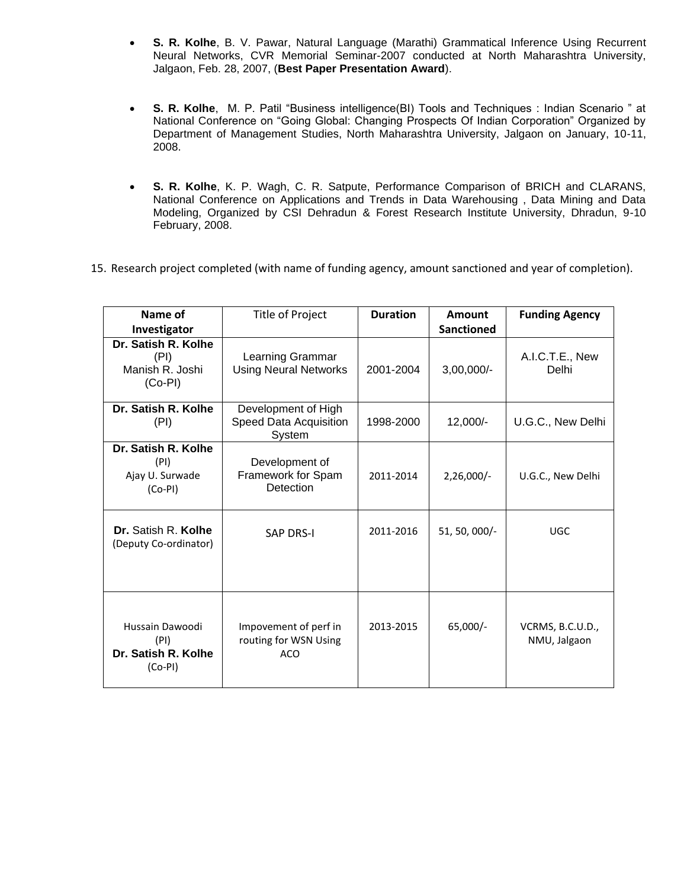- **S. R. Kolhe**, B. V. Pawar, Natural Language (Marathi) Grammatical Inference Using Recurrent Neural Networks, CVR Memorial Seminar-2007 conducted at North Maharashtra University, Jalgaon, Feb. 28, 2007, (**Best Paper Presentation Award**).
- **S. R. Kolhe**, M. P. Patil "Business intelligence(BI) Tools and Techniques : Indian Scenario " at National Conference on "Going Global: Changing Prospects Of Indian Corporation" Organized by Department of Management Studies, North Maharashtra University, Jalgaon on January, 10-11, 2008.
- **S. R. Kolhe**, K. P. Wagh, C. R. Satpute, Performance Comparison of BRICH and CLARANS, National Conference on Applications and Trends in Data Warehousing , Data Mining and Data Modeling, Organized by CSI Dehradun & Forest Research Institute University, Dhradun, 9-10 February, 2008.
- 15. Research project completed (with name of funding agency, amount sanctioned and year of completion).

| Name of<br>Investigator                                     | Title of Project                                             | <b>Duration</b> | Amount<br><b>Sanctioned</b> | <b>Funding Agency</b>            |
|-------------------------------------------------------------|--------------------------------------------------------------|-----------------|-----------------------------|----------------------------------|
| Dr. Satish R. Kolhe<br>(PI)<br>Manish R. Joshi<br>$(Co-PI)$ | Learning Grammar<br><b>Using Neural Networks</b>             | 2001-2004       | $3,00,000/-$                | A.I.C.T.E., New<br>Delhi         |
| Dr. Satish R. Kolhe<br>(PI)                                 | Development of High<br>Speed Data Acquisition<br>System      | 1998-2000       | $12,000/-$                  | U.G.C., New Delhi                |
| Dr. Satish R. Kolhe<br>(PI)<br>Ajay U. Surwade<br>$(Co-PI)$ | Development of<br>Framework for Spam<br>Detection            | 2011-2014       | $2,26,000/-$                | U.G.C., New Delhi                |
| Dr. Satish R. Kolhe<br>(Deputy Co-ordinator)                | <b>SAP DRS-I</b>                                             | 2011-2016       | $51, 50, 000/-$             | <b>UGC</b>                       |
| Hussain Dawoodi<br>(PI)<br>Dr. Satish R. Kolhe<br>$(Co-PI)$ | Impovement of perf in<br>routing for WSN Using<br><b>ACO</b> | 2013-2015       | $65,000/-$                  | VCRMS, B.C.U.D.,<br>NMU, Jalgaon |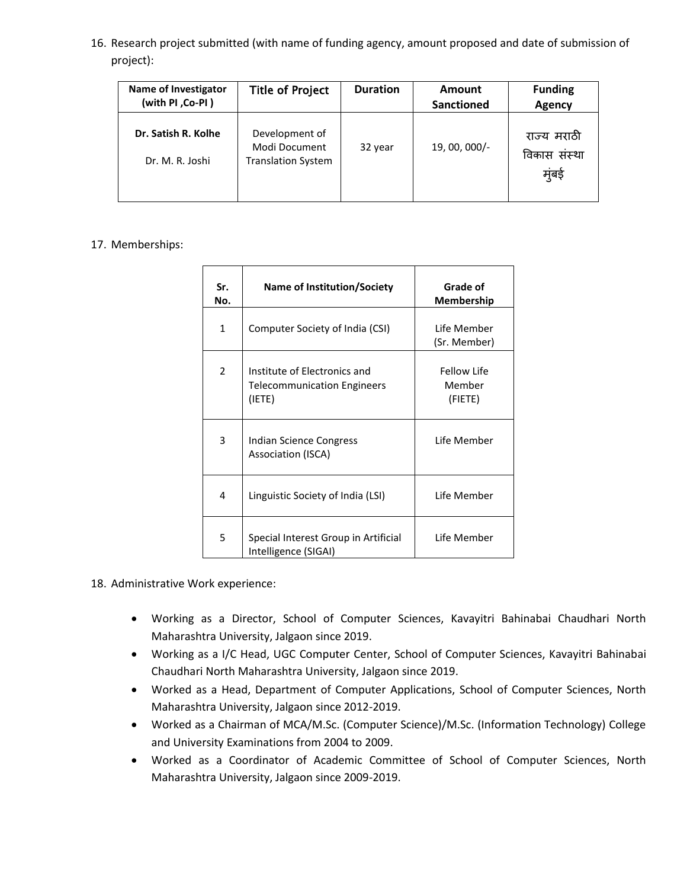16. Research project submitted (with name of funding agency, amount proposed and date of submission of project):

| <b>Name of Investigator</b><br>(with PI, Co-PI) | <b>Title of Project</b>                                      | <b>Duration</b> | Amount<br><b>Sanctioned</b> | <b>Funding</b><br>Agency              |
|-------------------------------------------------|--------------------------------------------------------------|-----------------|-----------------------------|---------------------------------------|
| Dr. Satish R. Kolhe<br>Dr. M. R. Joshi          | Development of<br>Modi Document<br><b>Translation System</b> | 32 year         | 19, 00, 000/-               | राज्य मराठी<br>विकास संस्था<br>म्बड़े |

## 17. Memberships:

| Sr.<br>No.     | <b>Name of Institution/Society</b>                                           | Grade of<br>Membership           |
|----------------|------------------------------------------------------------------------------|----------------------------------|
| $\mathbf{1}$   | Computer Society of India (CSI)                                              | Life Member<br>(Sr. Member)      |
| $\overline{2}$ | Institute of Electronics and<br><b>Telecommunication Engineers</b><br>(IETE) | Fellow Life<br>Member<br>(FIETE) |
| 3              | Indian Science Congress<br>Association (ISCA)                                | Life Member                      |
| 4              | Linguistic Society of India (LSI)                                            | Life Member                      |
| 5              | Special Interest Group in Artificial<br>Intelligence (SIGAI)                 | Tife Member                      |

- 18. Administrative Work experience:
	- Working as a Director, School of Computer Sciences, Kavayitri Bahinabai Chaudhari North Maharashtra University, Jalgaon since 2019.
	- Working as a I/C Head, UGC Computer Center, School of Computer Sciences, Kavayitri Bahinabai Chaudhari North Maharashtra University, Jalgaon since 2019.
	- Worked as a Head, Department of Computer Applications, School of Computer Sciences, North Maharashtra University, Jalgaon since 2012-2019.
	- Worked as a Chairman of MCA/M.Sc. (Computer Science)/M.Sc. (Information Technology) College and University Examinations from 2004 to 2009.
	- Worked as a Coordinator of Academic Committee of School of Computer Sciences, North Maharashtra University, Jalgaon since 2009-2019.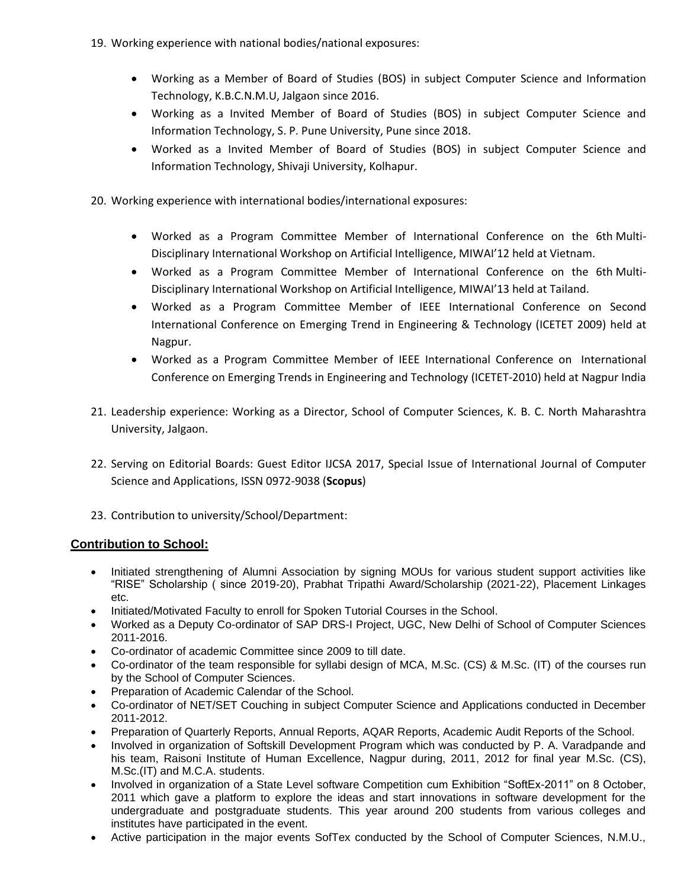- 19. Working experience with national bodies/national exposures:
	- Working as a Member of Board of Studies (BOS) in subject Computer Science and Information Technology, K.B.C.N.M.U, Jalgaon since 2016.
	- Working as a Invited Member of Board of Studies (BOS) in subject Computer Science and Information Technology, S. P. Pune University, Pune since 2018.
	- Worked as a Invited Member of Board of Studies (BOS) in subject Computer Science and Information Technology, Shivaji University, Kolhapur.
- 20. Working experience with international bodies/international exposures:
	- Worked as a Program Committee Member of International Conference on the 6th Multi-Disciplinary International Workshop on Artificial Intelligence, MIWAI'12 held at Vietnam.
	- Worked as a Program Committee Member of International Conference on the 6th Multi-Disciplinary International Workshop on Artificial Intelligence, MIWAI'13 held at Tailand.
	- Worked as a Program Committee Member of IEEE International Conference on Second International Conference on Emerging Trend in Engineering & Technology (ICETET 2009) held at Nagpur.
	- Worked as a Program Committee Member of IEEE International Conference on International Conference on Emerging Trends in Engineering and Technology (ICETET-2010) held at Nagpur India
- 21. Leadership experience: Working as a Director, School of Computer Sciences, K. B. C. North Maharashtra University, Jalgaon.
- 22. Serving on Editorial Boards: Guest Editor IJCSA 2017, Special Issue of International Journal of Computer Science and Applications, ISSN 0972-9038 (**Scopus**)
- 23. Contribution to university/School/Department:

# **Contribution to School:**

- Initiated strengthening of Alumni Association by signing MOUs for various student support activities like "RISE" Scholarship ( since 2019-20), Prabhat Tripathi Award/Scholarship (2021-22), Placement Linkages etc.
- Initiated/Motivated Faculty to enroll for Spoken Tutorial Courses in the School.
- Worked as a Deputy Co-ordinator of SAP DRS-I Project, UGC, New Delhi of School of Computer Sciences 2011-2016.
- Co-ordinator of academic Committee since 2009 to till date.
- Co-ordinator of the team responsible for syllabi design of MCA, M.Sc. (CS) & M.Sc. (IT) of the courses run by the School of Computer Sciences.
- Preparation of Academic Calendar of the School.
- Co-ordinator of NET/SET Couching in subject Computer Science and Applications conducted in December 2011-2012.
- Preparation of Quarterly Reports, Annual Reports, AQAR Reports, Academic Audit Reports of the School.
- Involved in organization of Softskill Development Program which was conducted by P. A. Varadpande and his team, Raisoni Institute of Human Excellence, Nagpur during, 2011, 2012 for final year M.Sc. (CS), M.Sc.(IT) and M.C.A. students.
- Involved in organization of a State Level software Competition cum Exhibition "SoftEx-2011" on 8 October, 2011 which gave a platform to explore the ideas and start innovations in software development for the undergraduate and postgraduate students. This year around 200 students from various colleges and institutes have participated in the event.
- Active participation in the major events SofTex conducted by the School of Computer Sciences, N.M.U.,